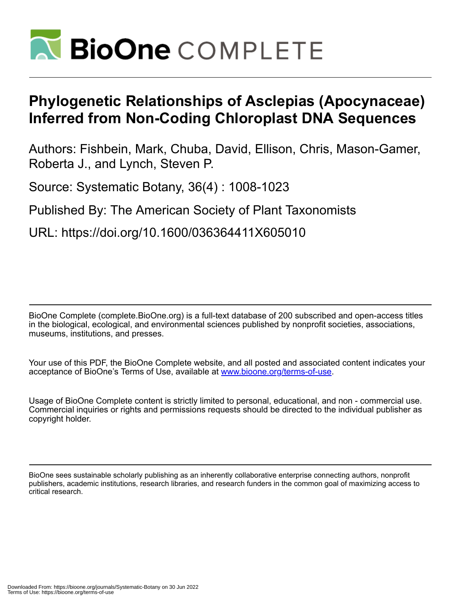

# **Phylogenetic Relationships of Asclepias (Apocynaceae) Inferred from Non-Coding Chloroplast DNA Sequences**

Authors: Fishbein, Mark, Chuba, David, Ellison, Chris, Mason-Gamer, Roberta J., and Lynch, Steven P.

Source: Systematic Botany, 36(4) : 1008-1023

Published By: The American Society of Plant Taxonomists

URL: https://doi.org/10.1600/036364411X605010

BioOne Complete (complete.BioOne.org) is a full-text database of 200 subscribed and open-access titles in the biological, ecological, and environmental sciences published by nonprofit societies, associations, museums, institutions, and presses.

Your use of this PDF, the BioOne Complete website, and all posted and associated content indicates your acceptance of BioOne's Terms of Use, available at www.bioone.org/terms-of-use.

Usage of BioOne Complete content is strictly limited to personal, educational, and non - commercial use. Commercial inquiries or rights and permissions requests should be directed to the individual publisher as copyright holder.

BioOne sees sustainable scholarly publishing as an inherently collaborative enterprise connecting authors, nonprofit publishers, academic institutions, research libraries, and research funders in the common goal of maximizing access to critical research.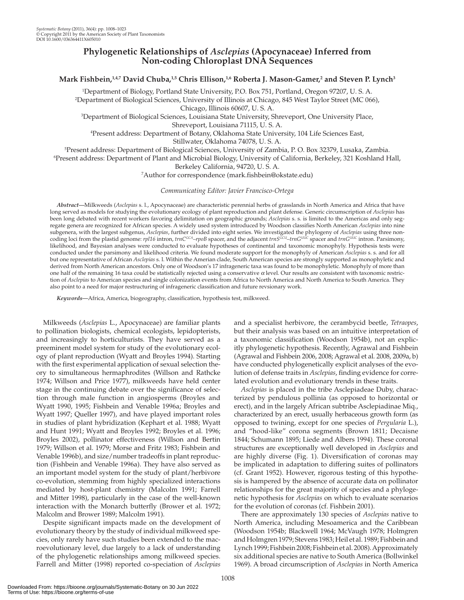# **Phylogenetic Relationships of** *Asclepias* **(Apocynaceae) Inferred from Non-coding Chloroplast DNA Sequences**

# Mark Fishbein,<sup>1,4,7</sup> David Chuba,<sup>1,5</sup> Chris Ellison,<sup>1,6</sup> Roberta J. Mason-Gamer,<sup>2</sup> and Steven P. Lynch<sup>3</sup>

<sup>1</sup> Department of Biology, Portland State University, P.O. Box 751, Portland, Oregon 97207, U. S. A.<br><sup>2</sup> Department of Biological Sciences, University of Illinois at Chicago, 845 West Taylor Street (MC 066 <sup>2</sup>Department of Biological Sciences, University of Illinois at Chicago, 845 West Taylor Street (MC 066),

Chicago, Illinois 60607, U. S. A. 3 Department of Biological Sciences, Louisiana State University, Shreveport, One University Place,

Shreveport, Louisiana 71115, U. S. A. 4 Present address: Department of Botany, Oklahoma State University, 104 Life Sciences East,

Stillwater, Oklahoma 74078, U. S. A.<br>Feresent address: Department of Biological Sciences, University of Zambi

<sup>5</sup>Present address: Department of Biological Sciences, University of Zambia, P. O. Box 32379, Lusaka, Zambia.<br>6Present address: Department of Plant and Microbial Biology University of California, Berkeley, 321 Koshland H Present address: Department of Plant and Microbial Biology, University of California, Berkeley, 321 Koshland Hall, Berkeley California, 94720, U. S. A. 7

<sup>7</sup>Author for correspondence (mark.fishbein@okstate.edu)

## *Communicating Editor: Javier Francisco-Ortega*

 *Abstract—* Milkweeds ( *Asclepias* s. l., Apocynaceae) are characteristic perennial herbs of grasslands in North America and Africa that have long served as models for studying the evolutionary ecology of plant reproduction and plant defense. Generic circumscription of *Asclepias* has been long debated with recent workers favoring delimitation on geographic grounds; *Asclepias* s. s. is limited to the Americas and only segregate genera are recognized for African species. A widely used system introduced by Woodson classifies North American *Asclepias* into nine subgenera, with the largest subgenus, *Asclepias* , further divided into eight series. We investigated the phylogeny of *Asclepias* using three noncoding loci from the plastid genome: *rpl16* intron, *trnCGCA –rpoB* spacer, and the adjacent *trnSGCU –trnG UUC* spacer and *trnGUUC* intron. Parsimony, likelihood, and Bayesian analyses were conducted to evaluate hypotheses of continental and taxonomic monophyly. Hypothesis tests were conducted under the parsimony and likelihood criteria. We found moderate support for the monophyly of American *Asclepias* s. s. and for all but one representative of African *Asclepias* s. l. Within the Amerian clade, South American species are strongly supported as monophyletic and derived from North American ancestors. Only one of Woodson's 17 infrageneric taxa was found to be monophyletic. Monophyly of more than one half of the remaining 16 taxa could be statistically rejected using a conservative *a* level. Our results are consistent with taxonomic restriction of *Asclepias* to American species and single colonization events from Africa to North America and North America to South America. They also point to a need for major restructuring of infrageneric classification and future revsionary work.

Keywords-Africa, America, biogeography, classification, hypothesis test, milkweed.

 Milkweeds ( *Asclepias* L., Apocynaceae) are familiar plants to pollination biologists, chemical ecologists, lepidopterists, and increasingly to horticulturists. They have served as a preeminent model system for study of the evolutionary ecology of plant reproduction (Wyatt and Broyles 1994). Starting with the first experimental application of sexual selection theory to simultaneous hermaphrodites ( Willson and Rathcke 1974; Willson and Price 1977), milkweeds have held center stage in the continuing debate over the significance of selection through male function in angiosperms (Broyles and Wyatt 1990, 1995; Fishbein and Venable 1996a; Broyles and Wyatt 1997; Queller 1997), and have played important roles in studies of plant hybridization (Kephart et al. 1988; Wyatt and Hunt 1991; Wyatt and Broyles 1992; Broyles et al. 1996; Broyles 2002), pollinator effectiveness (Willson and Bertin 1979; Willson et al. 1979; Morse and Fritz 1983; Fishbein and Venable 1996b), and size/number tradeoffs in plant reproduction (Fishbein and Venable 1996a). They have also served as an important model system for the study of plant/herbivore co-evolution, stemming from highly specialized interactions mediated by host-plant chemistry (Malcolm 1991; Farrell and Mitter 1998), particularly in the case of the well-known interaction with the Monarch butterfly (Brower et al. 1972; Malcolm and Brower 1989; Malcolm 1991).

 Despite significant impacts made on the development of evolutionary theory by the study of individual milkweed species, only rarely have such studies been extended to the macroevolutionary level, due largely to a lack of understanding of the phylogenetic relationships among milkweed species. Farrell and Mitter (1998) reported co-speciation of *Asclepias* and a specialist herbivore, the cerambycid beetle, *Tetraopes* , but their analysis was based on an intuitive interpretation of a taxonomic classification (Woodson 1954b), not an explicitly phylogenetic hypothesis. Recently, Agrawal and Fishbein (Agrawal and Fishbein 2006, 2008; Agrawal et al. 2008, 2009a, b) have conducted phylogenetically explicit analyses of the evolution of defense traits in *Asclepias* , finding evidence for correlated evolution and evolutionary trends in these traits.

*Asclepias* is placed in the tribe Asclepiadeae Duby, characterized by pendulous pollinia (as opposed to horizontal or erect), and in the largely African subtribe Asclepiadinae Miq., characterized by an erect, usually herbaceous growth form (as opposed to twining, except for one species of *Pergularia* L.), and "hood-like" corona segments (Brown 1811; Decaisne 1844; Schumann 1895; Liede and Albers 1994). These coronal structures are exceptionally well developed in *Asclepias* and are highly diverse (Fig. 1). Diversification of coronas may be implicated in adaptation to differing suites of pollinators (cf. Grant 1952). However, rigorous testing of this hypothesis is hampered by the absence of accurate data on pollinator relationships for the great majority of species and a phylogenetic hypothesis for *Asclepias* on which to evaluate scenarios for the evolution of coronas (cf. Fishbein 2001).

 There are approximately 130 species of *Asclepias* native to North America, including Mesoamerica and the Caribbean (Woodson 1954b; Blackwell 1964; McVaugh 1978; Holmgren and Holmgren 1979; Stevens 1983; Heil et al. 1989; Fishbein and Lynch 1999 ; Fishbein 2008 ; Fishbein et al. 2008 ). Approximately six additional species are native to South America (Bollwinkel 1969 ). A broad circumscription of *Asclepias* in North America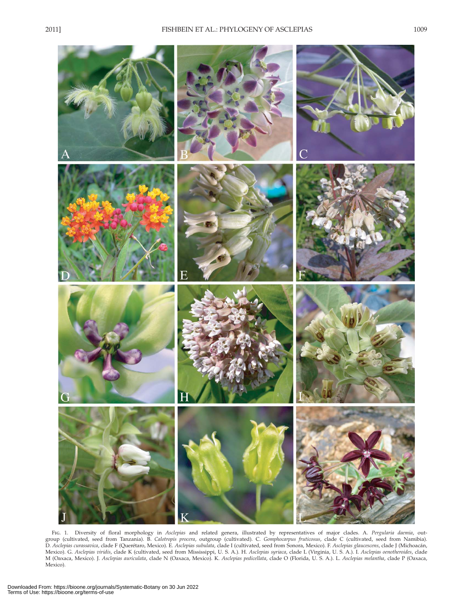

 Fig. 1. Diversity of floral morphology in *Asclepias* and related genera, illustrated by representatives of major clades. A. *Pergularia daemia* , outgroup (cultivated, seed from Tanzania). B. *Calotropis procera* , outgroup (cultivated). C. *Gomphocarpus fruticosus* , clade C (cultivated, seed from Namibia). D. *Asclepias curassavica* , clade F (Querétaro, Mexico). E. *Asclepias subulata* , clade I (cultivated, seed from Sonora, Mexico). F. *Asclepias glaucescens* , clade J (Michoacán, Mexico). G. *Asclepias viridis* , clade K (cultivated, seed from Mississippi, U. S. A.). H. *Asclepias syriaca* , clade L (Virginia, U. S. A.). I. *Asclepias oenotheroides* , clade M (Oaxaca, Mexico). J. *Asclepias auriculata* , clade N (Oaxaca, Mexico). K. *Asclepias pedicellata* , clade O (Florida, U. S. A.). L. *Asclepias melantha* , clade P (Oaxaca, Mexico).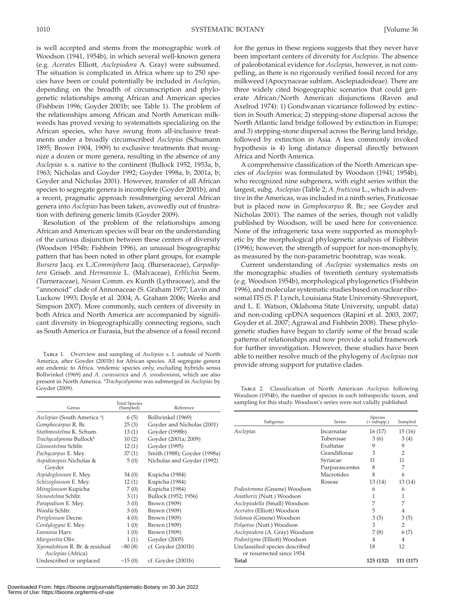is well accepted and stems from the monographic work of Woodson (1941, 1954b), in which several well-known genera (e.g. *Acerates* Elliott, *Asclepiodora* A. Gray) were subsumed. The situation is complicated in Africa where up to 250 species have been or could potentially be included in *Asclepias* , depending on the breadth of circumscription and phylogenetic relationships among African and American species (Fishbein 1996; Goyder 2001b; see Table 1). The problem of the relationships among African and North American milkweeds has proved vexing to systematists specializing on the African species, who have swung from all-inclusive treatments under a broadly circumscribed *Asclepias* (Schumann 1895; Brown 1904, 1909) to exclusive treatments that recognize a dozen or more genera, resulting in the absence of any *Asclepias* s. s. native to the continent (Bullock 1952, 1953a, b, 1963; Nicholas and Goyder 1992; Goyder 1998a, b, 2001a, b; Goyder and Nicholas 2001). However, transfer of all African species to segregate genera is incomplete (Goyder 2001b), and a recent, pragmatic approach resubmerging several African genera into *Asclepias* has been taken, avowedly out of frustration with defining generic limits (Goyder 2009).

 Resolution of the problem of the relationships among African and American species will bear on the understanding of the curious disjunction between these centers of diversity (Woodson 1954b; Fishbein 1996), an unusual biogeographic pattern that has been noted in other plant groups, for example *Bursera* Jacq. ex L. */Commiphora* Jacq. (Burseraceae), *Carpodiptera* Griseb. and *Hermannia* L. (Malvaceae), *Erblichia* Seem. (Turneraceae), *Nesaea* Comm. ex Kunth (Lythraceae), and the "annonoid" clade of Annonaceae (S. Graham 1977; Lavin and Luckow 1993; Doyle et al. 2004; A. Graham 2006; Weeks and Simpson 2007). More commonly, such centers of diversity in both Africa and North America are accompanied by significant diversity in biogeographically connecting regions, such as South America or Eurasia, but the absence of a fossil record

 Table 1. Overview and sampling of *Asclepias* s. l. outside of North America, after Goyder (2001b) for African species. All segregate genera are endemic to Africa. <sup>a</sup>endemic species only, excluding hybrids sensu Bollwinkel (1969) and *A. curassavica* and *A. woodsoniana* , which are also present in North America. b *Trachycalymma* was submerged in *Asclepias* by Goyder (2009) .

Genus Total Species (Sampled) Reference *Asclepias* (South America a ) 6 (5) Bollwinkel ( 1969 ) *Gomphocarpus* R. Br. 25 (3) Goyder and Nicholas (2001) *Stathmostelma* K. Schum. 13 (1) Goyder (1998b) *Trachycalymma* Bullock<sup>b</sup> 10 (2) Goyder (2001a; 2009) *Glossostelma* Schltr. 12 (1) Goyder (1995) *Pachycarpus* E. Mey. 37 (1) Smith (1988); Goyder (1998a) *Aspidonepsis* Nicholas & Goyder 5 (0) Nicholas and Goyder (1992) *Aspidoglossum* E. Mey. 34 (0) Kupicha (1984) *Schizoglossum* E. Mey. 12 (1) Kupicha (1984) *Miraglossum* Kupicha 7 (0) Kupicha (1984) *Stenostelma* Schltr. 3 (1) Bullock (1952; 1956) *Parapodium* E. Mey. 3 (0) Brown (1909) *Woodia* Schltr. 3 (0) Brown (1909) *Periglossum* Decne. 4 (0) Brown (1909) *Cordylogyne* E. Mey. 1 (0) Brown (1909)<br> *Fanninia* Harv. 1 (0) Brown (1909) *Fanninia* Harv. *Margaretta* Oliv. 1 (1) Goyder (2005)<br>*Xusmalobium* R. Br. & residual  $\sim 80(8)$  cf. Goyder (20 *Xysmalobium* R. Br. & residual *Asclepias* (Africa) cf. Goyder (2001b) Undescribed or unplaced  $\sim$  15 (0) cf. Goyder (2001b)

Downloaded From: https://bioone.org/journals/Systematic-Botany on 30 Jun 2022 Terms of Use: https://bioone.org/terms-of-use

for the genus in these regions suggests that they never have been important centers of diversity for *Asclepias* . The absence of paleobotanical evidence for *Asclepias* , however, is not compelling, as there is no rigorously verified fossil record for any milkweed (Apocynaceae subfam. Asclepiadoideae). There are three widely cited biogeographic scenarios that could generate African/North American disjunctions (Raven and Axelrod 1974): 1) Gondwanan vicariance followed by extinction in South America; 2) stepping-stone dispersal across the North Atlantic land bridge followed by extinction in Europe; and 3) stepping-stone dispersal across the Bering land bridge, followed by extinction in Asia. A less commonly invoked hypothesis is 4) long distance dispersal directly between Africa and North America.

 A comprehensive classification of the North American species of *Asclepias* was formulated by Woodson (1941; 1954b), who recognized nine subgenera, with eight series within the largest, subg. *Asclepias* (Table 2; *A. fruticosa* L., which is adventive in the Americas, was included in a ninth series, Fruticosae but is placed now in *Gomphocarpus* R. Br.; see Goyder and Nicholas 2001). The names of the series, though not validly published by Woodson, will be used here for convenience. None of the infrageneric taxa were supported as monophyletic by the morphological phylogenetic analysis of Fishbein (1996); however, the strength of support for non-monophyly, as measured by the non-parametric bootstrap, was weak.

 Current understanding of *Asclepias* systematics rests on the monographic studies of twentieth century systematists (e.g. Woodson 1954b ), morphological phylogenetics ( Fishbein 1996), and molecular systematic studies based on nuclear ribosomal ITS (S. P. Lynch, Louisiana State University-Shreveport, and L. E. Watson, Oklahoma State University, unpubl. data) and non-coding cpDNA sequences (Rapini et al. 2003, 2007; Goyder et al. 2007; Agrawal and Fishbein 2008). These phylogenetic studies have begun to clarify some of the broad scale patterns of relationships and now provide a solid framework for further investigation. However, these studies have been able to neither resolve much of the phylogeny of *Asclepias* nor provide strong support for putative clades.

 Table 2. Classification of North American *Asclepias* following Woodson (1954b), the number of species in each infraspecific taxon, and sampling for this study. Woodson's series were not validly published.

| Subgenus                          | <b>Series</b>  | Species<br>$(+\sin^{-})$ | Sampled        |
|-----------------------------------|----------------|--------------------------|----------------|
| Asclepias                         | Incarnatae     | 16(17)                   | 15(16)         |
|                                   | Tuberosae      | 3(6)                     | 3(4)           |
|                                   | Exaltatae      | 9                        | 9              |
|                                   | Grandiflorae   | 3                        | $\overline{2}$ |
|                                   | Syriacae       | 11                       | 11             |
|                                   | Purpurascentes | 8                        | 7              |
|                                   | Macrotides     | 8                        | 6              |
|                                   | Roseae         | 13(14)                   | 13 (14)        |
| Podostemma (Greene) Woodson       |                | 6                        | 6              |
| Anatherix (Nutt.) Woodson         |                | 1                        | 1              |
| Asclepiodella (Small) Woodson     |                | 7                        | 7              |
| <i>Acerates</i> (Elliott) Woodson |                | 5                        | 4              |
| Solanoa (Greene) Woodson          |                | 3(5)                     | 3(5)           |
| Polyotus (Nutt.) Woodson          |                | 3                        | 2              |
| Asclepiodora (A. Gray) Woodson    |                | 7(8)                     | 6(7)           |
| Podostigma (Elliott) Woodson      |                | 4                        | 4              |
| Unclassified species described    |                | 18                       | 12             |
| or resurrected since 1954         |                |                          |                |
| Total                             |                | 125 (132)                | 111 (117)      |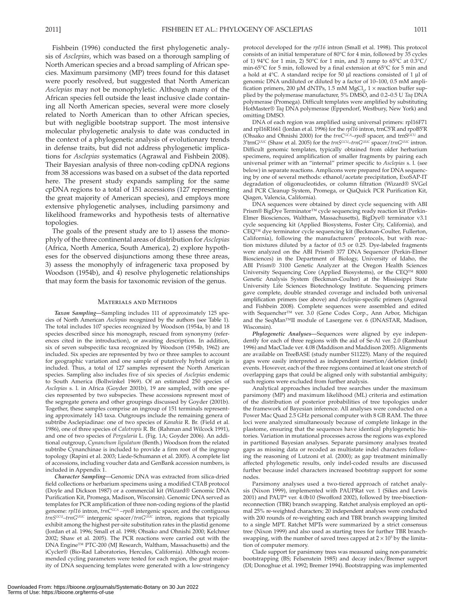Fishbein (1996) conducted the first phylogenetic analysis of *Asclepias* , which was based on a thorough sampling of North American species and a broad sampling of African species. Maximum parsimony (MP) trees found for this dataset were poorly resolved, but suggested that North American *Asclepias* may not be monophyletic. Although many of the African species fell outside the least inclusive clade containing all North American species, several were more closely related to North American than to other African species, but with negligible bootstrap support. The most intensive molecular phylogenetic analysis to date was conducted in the context of a phylogenetic analysis of evolutionary trends in defense traits, but did not address phylogenetic implications for *Asclepias* systematics (Agrawal and Fishbein 2008). Their Bayesian analysis of three non-coding cpDNA regions from 38 accessions was based on a subset of the data reported here. The present study expands sampling for the same cpDNA regions to a total of 151 accessions (127 representing the great majority of American species), and employs more extensive phylogenetic analyses, including parsimony and likelihood frameworks and hypothesis tests of alternative topologies.

 The goals of the present study are to 1) assess the monophyly of the three continental areas of distribution for *Asclepias* (Africa, North America, South America), 2) explore hypotheses for the observed disjunctions among these three areas, 3) assess the monophyly of infrageneric taxa proposed by Woodson (1954b), and 4) resolve phylogenetic relationships that may form the basis for taxonomic revision of the genus.

## Materials and Methods

 *Taxon Sampling—* Sampling includes 111 of approximately 125 species of North American *Asclepias* recognized by the authors (see Table 1). The total includes 107 species recognized by Woodson (1954a, b) and 18 species described since his monograph, rescued from synonymy (references cited in the introduction), or awaiting description. In addition, six of seven subspecific taxa recognized by Woodson (1954b, 1962) are included. Six species are represented by two or three samples to account for geographic variation and one sample of putatively hybrid origin is included. Thus, a total of 127 samples represent the North American species. Sampling also includes five of six species of *Asclepias* endemic to South America (Bollwinkel 1969). Of an estimated 250 species of Asclepias s. l. in Africa (Goyder 2001b), 19 are sampled, with one species represented by two subspecies. These accessions represent most of the segregate genera and other groupings discussed by Goyder (2001b). Together, these samples comprise an ingroup of 151 terminals representing approximately 143 taxa. Outgroups include the remaining genera of subtribe Asclepiadinae: one of two species of *Kanahia* R. Br. (Field et al. 1986 ), one of three species of *Calotropis* R. Br. ( Rahman and Wilcock 1991 ), and one of two species of *Pergularia* L. (Fig. 1A; Goyder 2006). An additional outgroup, *Cynanchum ligulatum* (Benth.) Woodson from the related subtribe Cynanchinae is included to provide a firm root of the ingroup topology (Rapini et al. 2003; Liede-Schumann et al. 2005). A complete list of accessions, including voucher data and GenBank accession numbers, is included in Appendix 1.

 *Character Sampling—* Genomic DNA was extracted from silica-dried field collections or herbarium specimens using a modified CTAB protocol (Doyle and Dickson 1987) or a commercial kit (Wizard® Genomic DNA Purification Kit, Promega, Madison, Wisconsin). Genomic DNA served as templates for PCR amplification of three non-coding regions of the plastid genome:  $rp116$  intron,  $\frac{r}{r}rnC^{GCA} - rpoB$  intergenic spacer, and the contiguous *trnSGCU –trnG UUC* intergenic spacer/ *trnGUUC* intron, regions that typically exhibit among the highest per-site substitution rates in the plastid genome (Jordan et al. 1996; Small et al. 1998; Ohsako and Ohnishi 2000; Kelchner 2002; Shaw et al. 2005). The PCR reactions were carried out with the DNA Engine™ PTC-200 (MJ Research, Waltham, Massachusetts) and the iCycler® (Bio-Rad Laboratories, Hercules, California). Although recommended cycling parameters were tested for each region, the great majority of DNA sequencing templates were generated with a low-stringency protocol developed for the  $rp116$  intron (Small et al. 1998). This protocol consists of an initial temperature of 80°C for 4 min, followed by 35 cycles of 1) 94°C for 1 min, 2) 50°C for 1 min, and 3) ramp to 65°C at 0.3°C/ min-65°C for 5 min, followed by a final extension at 65°C for 5 min and a hold at 4°C. A standard recipe for 50 μl reactions consisted of 1 μl of genomic DNA undiluted or diluted by a factor of 10–100, 0.5 mM amplification primers, 200 μM dNTPs, 1.5 mM  $MgCl_{2}$ , 1 × reaction buffer supplied by the polymerase manufacturer, 5% DMSO, and 0.2–0.5 U *Taq* DNA polymerase (Promega). Difficult templates were amplified by substituting HotMaster® *Taq* DNA polymerase (Eppendorf, Westbury, New York) and omitting DMSO.

 DNA of each region was amplified using universal primers: rpl16F71 and rpl16R1661 (Jordan et al. 1996) for the  $rpl16$  intron, trnC5<sup>'</sup>R and rpoB5<sup>'</sup>R (Ohsako and Ohnishi 2000) for the *trnC<sup>GCA</sup>–rpoB* spacer, and trnS<sup>GCU</sup> and 3'trnG<sup>UUC</sup> (Shaw et al. 2005) for the *trnS<sup>GCU</sup>*-trnG<sup>UUC</sup> spacer/*trnG<sup>uuc</sup>* intron. Difficult genomic templates, typically obtained from older herbarium specimens, required amplification of smaller fragments by pairing each universal primer with an "internal" primer specific to *Asclepias* s. l. (see below) in separate reactions. Amplicons were prepared for DNA sequencing by one of several methods: ethanol/acetate precipitation, ExoSAP-IT degradation of oligonucleotides, or column filtration (Wizard® SVGel and PCR Cleanup System, Promega, or QiaQuick PCR Purification Kit, Qiagen, Valencia, California).

 DNA sequences were obtained by direct cycle sequencing with ABI Prism® BigDye Terminator™ cycle sequencing ready reaction kit (Perkin-Elmer Biosciences, Waltham, Massachusetts), BigDye® terminator v3.1 cycle sequencing kit (Applied Biosystems, Foster City, California), and CEQ™ dye terminator cycle sequencing kit (Beckman-Coulter, Fullerton, California), following the manufacturers' protocols, but with reaction mixtures diluted by a factor of 0.5 or 0.25. Dye-labeled fragments were analyzed on the ABI Prism® 377 DNA Sequencer (Perkin-Elmer Biosciences) in the Department of Biology, University of Idaho, the ABI Prism® 3100 Genetic Analyzer at the Oregon Health Sciences University Sequencing Core (Applied Biosystems), or the CEQ™ 8000 Genetic Analysis System (Beckman-Coulter) at the Mississippi State University Life Sciences Biotechnology Institute. Sequencing primers gave complete, double stranded coverage and included both universal amplification primers (see above) and *Asclepias* -specific primers ( Agrawal and Fishbein 2008). Complete sequences were assembled and edited with Sequencher™ ver. 3.0 (Gene Codes Corp., Ann Arbor, Michigan and the SeqMan™II module of Lasergene ver. 6 (DNASTAR, Madison, Wisconsin).

 *Phylogenetic Analyses—* Sequences were aligned by eye independently for each of three regions with the aid of Se-Al ver. 2.0 (Rambaut 1996) and MacClade ver. 4.08 (Maddison and Maddison 2005). Alignments are available on TreeBASE (study number S11225). Many of the required gaps were easily interpreted as independent insertion/deletion (indel) events. However, each of the three regions contained at least one stretch of overlapping gaps that could be aligned only with substantial ambiguity; such regions were excluded from further analysis.

 Analytical approaches included tree searches under the maximum parsimony (MP) and maximum likelihood (ML) criteria and estimation of the distribution of posterior probabilities of tree topologies under the framework of Bayesian inference. All analyses were conducted on a Power Mac Quad 2.5 GHz personal computer with 8 GB RAM. The three loci were analyzed simultaneously because of complete linkage in the plastome, ensuring that the sequences have identical phylogenetic histories. Variation in mutational processes across the regions was explored in partitioned Bayesian analyses. Separate parsimony analyses treated gaps as missing data or recoded as multistate indel characters following the reasoning of Lutzoni et al. (2000); as gap treatment minimally affected phylogenetic results, only indel-coded results are discussed further because indel characters increased bootstrap support for some nodes.

 Parsimony analyses used a two-tiered approach of ratchet analysis (Nixon 1999), implemented with PAUPRat ver. 1 (Sikes and Lewis 2001) and PAUP\* ver. 4.0b10 (Swofford 2002), followed by tree-bisectionreconnection (TBR) branch swapping. Ratchet analysis employed an optimal 25% re-weighted characters; 20 independent analyses were conducted with 200 rounds of re-weighting each and TBR branch swapping limited to a single MPT. Ratchet MPTs were summarized by a strict consensus tree (Nixon 1999) and also used as starting trees for further TBR branchswapping, with the number of saved trees capped at  $2 \times 10^5$  by the limitation of computer memory.

 Clade support for parsimony trees was measured using non-parametric bootstrapping (BS; Felsenstein 1985) and decay index/Bremer support (DI; Donoghue et al. 1992; Bremer 1994). Bootstrapping was implemented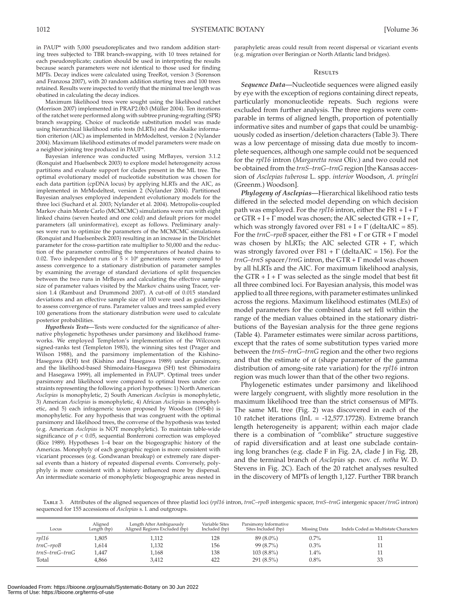in PAUP\* with 5,000 pseudoreplicates and two random addition starting trees subjected to TBR branch-swapping, with 10 trees retained for each pseudoreplicate; caution should be used in interpreting the results because search parameters were not identical to those used for finding MPTs. Decay indices were calculated using TreeRot, version 3 (Sorenson and Franzosa 2007), with 20 random addition starting trees and 100 trees retained. Results were inspected to verify that the minimal tree length was obatined in calculating the decay indices.

 Maximum likelihood trees were sought using the likelihood ratchet (Morrison 2007) implemented in PRAP2.0b3 (Müller 2004). Ten iterations of the ratchet were performed along with subtree pruning-regrafting (SPR) branch swapping. Choice of nucleotide substitution model was made using hierarchical likelihood ratio tests (hLRTs) and the Akaike information criterion (AIC) as implemented in MrModeltest, version 2 (Nylander 2004). Maximum likelihood estimates of model parameters were made on a neighbor joining tree produced in PAUP\*.

 Bayesian inference was conducted using MrBayes, version 3.1.2 (Ronquist and Huelsenbeck 2003) to explore model heterogeneity across partitions and evaluate support for clades present in the ML tree. The optimal evolutionary model of nucleotide substitution was chosen for each data partition (cpDNA locus) by applying hLRTs and the AIC, as implemented in MrModeltest, version 2 (Nylander 2004). Partitioned Bayesian analyses employed independent evolutionary models for the three loci (Suchard et al. 2003; Nylander et al. 2004). Metropolis-coupled Markov chain Monte Carlo (MCMCMC) simulations were run with eight linked chains (seven heated and one cold) and default priors for model parameters (all uninformative), except as follows. Preliminary analyses were run to optimize the parameters of the MCMCMC simulations (Ronquist and Huelsenbeck 2003) resulting in an increase in the Dirichlet parameter for the cross-partition rate multiplier to 50,000 and the reduction of the parameter controlling the temperatures of heated chains to 0.02. Two independent runs of  $5 \times 10^6$  generations were compared to assess convergence to a stationary distribution of parameter samples by examining the average of standard deviations of split frequencies between the two runs in MrBayes and calculating the effective sample size of parameter values visited by the Markov chains using Tracer, version 1.4 (Rambaut and Drummond 2007). A cut-off of 0.015 standard deviations and an effective sample size of 100 were used as guidelines to assess convergence of runs. Parameter values and trees sampled every 100 generations from the stationary distribution were used to calculate posterior probabilities.

 *Hypothesis Tests—* Tests were conducted for the significance of alternative phylogenetic hypotheses under parsimony and likelihood frameworks. We employed Templeton's implementation of the Wilcoxon signed-ranks test (Templeton 1983), the winning sites test (Prager and Wilson 1988), and the parsimony implementation of the Kishino-Hasegawa (KH) test (Kishino and Hasegawa 1989) under parsimony, and the likelihood-based Shimodaira-Hasegawa (SH) test (Shimodaira and Hasegawa 1999), all implemented in PAUP\*. Optimal trees under parsimony and likelihood were compared to optimal trees under constraints representing the following a priori hypotheses: 1) North American *Asclepias* is monophyletic, 2) South American *Asclepias* is monophyletic, 3) American *Asclepias* is monophyletic, 4) African *Asclepias* is monophyletic, and 5) each infrageneric taxon proposed by Woodson (1954b) is monophyletic. For any hypothesis that was congruent with the optimal parsimony and likelihood trees, the converse of the hypothesis was tested (e.g. American *Asclepias* is NOT monophyletic). To maintain table-wide significance of  $p < 0.05$ , sequential Bonferroni correction was employed (Rice 1989). Hypotheses 1–4 bear on the biogeographic history of the Americas. Monophyly of each geographic region is more consistent with vicariant processes (e.g. Gondwanan breakup) or extremely rare dispersal events than a history of repeated dispersal events. Conversely, polyphyly is more consistent with a history influenced more by dispersal. An intermediate scenario of monophyletic biogeographic areas nested in

paraphyletic areas could result from recent dispersal or vicariant events (e.g. migration over Beringian or North Atlantic land bridges).

### **RESILTS**

 *Sequence Data—* Nucleotide sequences were aligned easily by eye with the exception of regions containing direct repeats, particularly mononucleotide repeats. Such regions were excluded from further analysis. The three regions were comparable in terms of aligned length, proportion of potentially informative sites and number of gaps that could be unambiguously coded as insertion/deletion characters (Table 3). There was a low percentage of missing data due mostly to incomplete sequences, although one sample could not be sequenced for the *rpl16* intron (Margaretta rosea Oliv.) and two could not be obtained from the *trnS–trnG–trnG* region [the Kansas accession of *Asclepias tuberosa* L. spp. *interior* Woodson, *A. pringlei* (Greenm.) Woodson].

 *Phylogeny of Asclepias—* Hierarchical likelihood ratio tests differed in the selected model depending on which decision path was employed. For the *rpl16* intron, either the F81 + I + Γ or  $GTR + I + \Gamma$  model was chosen; the AIC selected  $GTR + I + \Gamma$ , which was strongly favored over  $F81 + I + \Gamma$  (deltaAIC = 85). For the *trnC–rpoB* spacer, either the F81 + Γ or GTR + Γ model was chosen by hLRTs; the AIC selected GTR +  $\Gamma$ , which was strongly favored over F81 +  $\Gamma$  (deltaAIC = 156). For the *trnG–trnS* spacer/ *trnG* intron, the GTR + Γ model was chosen by all hLRTs and the AIC. For maximum likelihood analysis, the GTR + I +  $\Gamma$  was selected as the single model that best fit all three combined loci. For Bayesian analysis, this model was applied to all three regions, with parameter estimates unlinked across the regions. Maximum likelihood estimates (MLEs) of model parameters for the combined data set fell within the range of the median values obtained in the stationary distributions of the Bayesian analysis for the three gene regions (Table 4). Parameter estimates were similar across partitions, except that the rates of some substitution types varied more between the *trnS–trnG–trnG* region and the other two regions and that the estimate of  $\alpha$  (shape parameter of the gamma distribution of among-site rate variation) for the *rpl16* intron region was much lower than that of the other two regions.

 Phylogenetic estimates under parsimony and likelihood were largely congruent, with slightly more resolution in the maximum likelihood tree than the strict consensus of MPTs. The same ML tree (Fig. 2) was discovered in each of the 10 ratchet iterations (lnL = -12,577.17728). Extreme branch length heterogeneity is apparent; within each major clade there is a combination of "comblike" structure suggestive of rapid diversification and at least one subclade containing long branches (e.g. clade F in Fig. 2A, clade J in Fig. 2B, and the terminal branch of *Asclepias* sp. nov. cf. *notha* W. D. Stevens in Fig. 2C). Each of the 20 ratchet analyses resulted in the discovery of MPTs of length 1,127. Further TBR branch

 Table 3. Attributes of the aligned sequences of three plastid loci ( *rpl16* intron, *trnC–rpoB* intergenic spacer, *trnS–trnG* intergenic spacer/ *trnG* intron) sequenced for 155 accessions of *Asclepias* s. l. and outgroups.

| Locus                    | Aligned<br>Length (bp) | Length After Ambiguously<br>Aligned Regions Excluded (bp) | Variable Sites<br>Included (bp) | Parsimony Informative<br>Sites Included (bp) | Missing Data | Indels Coded as Multistate Characters |
|--------------------------|------------------------|-----------------------------------------------------------|---------------------------------|----------------------------------------------|--------------|---------------------------------------|
| rp116                    | .805                   | l,112                                                     | 128                             | $89(8.0\%)$                                  | $0.7\%$      |                                       |
| $trnC$ -rpo $B$          | .614                   | 1,132                                                     | 156                             | $99(8.7\%)$                                  | 0.3%         |                                       |
| $trnS$ - $trnG$ - $trnG$ | 1,447                  | .168                                                      | 138                             | $103(8.8\%)$                                 | $1.4\%$      |                                       |
| Total                    | 4.866                  | 3,412                                                     | 422                             | $291(8.5\%)$                                 | 0.8%         | 33                                    |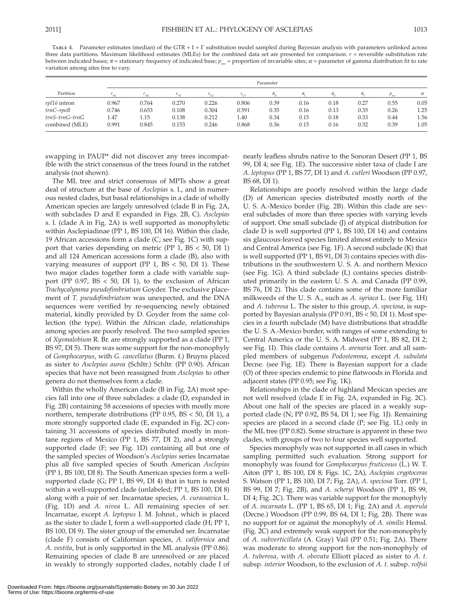TABLE 4. Parameter estimates (median) of the GTR + I +  $\Gamma$  substitution model sampled during Bayesian analysis with parameters unlinked across three data partitions. Maximum likelihood estimates (MLEs) for the combined data set are presented for comparison. *r* = reversible substitution rate between indicated bases;  $\pi$  = stationary frequency of indicated base;  $p_{iw}$  = proportion of invariable sites;  $\alpha$  = parameter of gamma distribution fit to rate variation among sites free to vary.

| Partition        | Parameter |       |       |       |       |                          |       |           |      |                      |          |
|------------------|-----------|-------|-------|-------|-------|--------------------------|-------|-----------|------|----------------------|----------|
|                  |           |       |       | CG    |       | $\overline{\phantom{a}}$ | $\pi$ | $\pi_{-}$ | π.,  | $\nu$ <sub>inv</sub> | $\alpha$ |
| rpl16 intron     | 0.967     | 0.764 | 0.270 | 0.226 | 0.806 | 0.39                     | 0.16  | 0.18      | 0.27 | 0.55                 | 0.05     |
| trnC–rpoB        | 0.746     | 0.653 | 0.108 | 0.304 | 0.591 | 0.35                     | 0.16  | 0.13      | 0.35 | 0.26                 | 1.25     |
| $trnS-trnG-trnG$ | 1.47      | 1.15  | 0.138 | 0.212 | 1.40  | 0.34                     | 0.15  | 0.18      | 0.33 | 0.44                 | 1.56     |
| combined (MLE)   | 0.991     | 0.845 | 0.153 | 0.246 | 0.868 | 0.36                     | 0.15  | 0.16      | 0.32 | 0.39                 | 1.05     |

swapping in PAUP\* did not discover any trees incompatible with the strict consensus of the trees found in the ratchet analysis (not shown).

 The ML tree and strict consensus of MPTs show a great deal of structure at the base of *Asclepias* s. l., and in numerous nested clades, but basal relationships in a clade of wholly American species are largely unresolved (clade B in Fig. 2A, with subclades D and E expanded in Figs. 2B, C). *Asclepias* s. l. (clade A in Fig. 2A) is well supported as monophyletic within Asclepiadinae (PP 1, BS 100, DI 16). Within this clade, 19 African accessions form a clade  $(C)$ ; see Fig. 1C) with support that varies depending on metric (PP 1,  $BS < 50$ , DI 1) and all 124 American accessions form a clade (B), also with varying measures of support (PP  $1$ , BS < 50, DI  $1$ ). These two major clades together form a clade with variable support (PP  $0.97$ , BS  $<$  50, DI 1), to the exclusion of African *Trachycalymma pseudofimbriatum* Goyder. The exclusive placement of *T. pseudofimbriatum* was unexpected, and the DNA sequences were verified by re-sequencing newly obtained material, kindly provided by D. Goyder from the same collection (the type). Within the African clade, relationships among species are poorly resolved. The two sampled species of *Xysmalobium* R. Br. are strongly supported as a clade (PP 1, BS 97, DI 5). There was some support for the non-monophyly of *Gomphocarpus* , with *G. cancellatus* (Burm. f.) Bruyns placed as sister to *Asclepias aurea* (Schltr.) Schltr. (PP 0.90). African species that have not been reassigned from *Asclepias* to other genera do not themselves form a clade.

Within the wholly American clade (B in Fig. 2A) most species fall into one of three subclades: a clade (D, expanded in Fig. 2B) containing 58 accessions of species with mostly more northern, temperate distributions (PP 0.95, BS < 50, DI 1), a more strongly supported clade (E, expanded in Fig. 2C) containing 31 accessions of species distributed mostly in montane regions of Mexico (PP 1, BS 77, DI 2), and a strongly supported clade (F; see Fig. 1D) containing all but one of the sampled species of Woodson's *Asclepias* series Incarnatae plus all five sampled species of South American *Asclepias* (PP 1, BS 100, DI 8). The South American species form a wellsupported clade (G; PP 1, BS 99, DI 4) that in turn is nested within a well-supported clade (unlabeled; PP 1, BS 100, DI 8) along with a pair of ser. Incarnatae species, *A. curassavica* L. (Fig. 1D) and *A. nivea* L. All remaining species of ser. Incarnatae, except *A. leptopus* I. M. Johnst., which is placed as the sister to clade I, form a well-supported clade (H; PP 1, BS 100, DI 9). The sister group of the emended ser. Incarnatae (clade F) consists of Californian species, *A. californica* and *A. vestita* , but is only supported in the ML analysis (PP 0.86). Remaining species of clade B are unresolved or are placed in weakly to strongly supported clades, notably clade I of nearly leafless shrubs native to the Sonoran Desert (PP 1, BS 99, DI 4; see Fig. 1E). The successive sister taxa of clade I are *A. leptopus* (PP 1, BS 77, DI 1) and *A. cutleri* Woodson (PP 0.97, BS 68, DI 1).

 Relationships are poorly resolved within the large clade (D) of American species distributed mostly north of the U. S. A.-Mexico border (Fig. 2B). Within this clade are several subclades of more than three species with varying levels of support. One small subclade (J) of atypical distribution for clade D is well supported (PP 1, BS 100, DI 14) and contains six glaucous-leaved species limited almost entirely to Mexico and Central America (see Fig.  $1F$ ). A second subclade (K) that is well supported (PP 1, BS 91, DI 3) contains species with distributions in the southwestern U. S. A. and northern Mexico (see Fig.  $1G$ ). A third subclade (L) contains species distributed primarily in the eastern U. S. A. and Canada (PP 0.99, BS 76, DI 2). This clade contains some of the more familiar milkweeds of the U. S. A., such as *A. syriaca* L. (see Fig. 1H) and *A. tuberosa* L. The sister to this group, *A. speciosa*, is supported by Bayesian analysis (PP 0.91, BS < 50, DI 1). Most species in a fourth subclade (M) have distributions that straddle the U. S. A.-Mexico border, with ranges of some extending to Central America or the U. S. A. Midwest (PP 1, BS 82, DI 2; see Fig. 1I). This clade contains *A. arenaria* Torr. and all sampled members of subgenus *Podostemma* , except *A. subulata* Decne. (see Fig. 1E). There is Bayesian support for a clade (O) of three species endemic to pine flatwoods in Florida and adjacent states (PP 0.95; see Fig. 1K).

 Relationships in the clade of highland Mexican species are not well resolved (clade E in Fig. 2A, expanded in Fig. 2C). About one half of the species are placed in a weakly supported clade (N; PP 0.92, BS 54, DI 1; see Fig. 1J). Remaining species are placed in a second clade (P; see Fig. 1L) only in the ML tree (PP 0.82). Some structure is apparent in these two clades, with groups of two to four species well supported.

 Species monophyly was not supported in all cases in which sampling permitted such evaluation. Strong support for monophyly was found for *Gomphocarpus fruticosus* (L.) W. T. Aiton (PP 1, BS 100, DI 8; Figs. 1C, 2A), *Asclepias cryptoceras* S. Watson (PP 1, BS 100, DI 7; Fig. 2A ), *A. speciosa* Torr. (PP 1, BS 99, DI 7; Fig. 2B), and *A. scheryi* Woodson (PP 1, BS 99, DI 4; Fig. 2C). There was variable support for the monophyly of *A. incarnata* L. (PP 1, BS 65, DI 1; Fig. 2A ) and *A. asperula* (Decne.) Woodson (PP 0.99, BS 64, DI 1; Fig. 2B). There was no support for or against the monophyly of *A. similis* Hemsl. (Fig. 2C) and extremely weak support for the non-monophyly of *A. subverticillata* (A. Gray) Vail (PP 0.51; Fig. 2A). There was moderate to strong support for the non-monophyly of *A. tuberosa* , with *A. obovata* Elliott placed as sister to *A. t.* subsp. *interior* Woodson, to the exclusion of *A. t.* subsp. *rolfsii*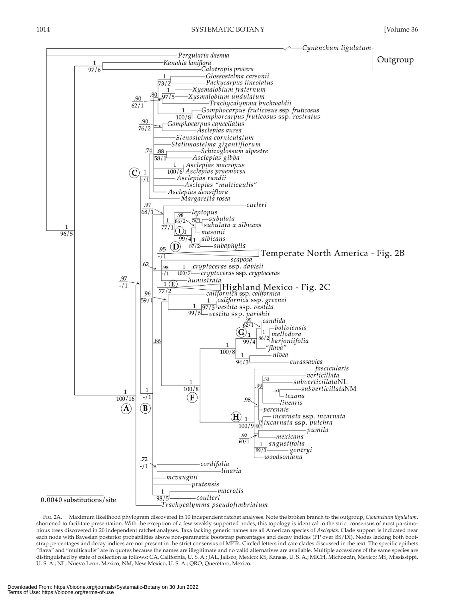

 Fig. 2A. Maximum likelihood phylogram discovered in 10 independent ratchet analyses. Note the broken branch to the outgroup, *Cynanchum ligulatum* , shortened to facilitate presentation. With the exception of a few weakly supported nodes, this topology is identical to the strict consensus of most parsimonious trees discovered in 20 independent ratchet analyses. Taxa lacking generic names are all American species of *Asclepias* . Clade support is indicated near each node with Bayesian posterior probabilities above non-parametric bootstrap percentages and decay indices (PP over BS/DI). Nodes lacking both bootstrap percentages and decay indices are not present in the strict consensus of MPTs. Circled letters indicate clades discussed in the text. The specific epithets "flava" and "multicaulis" are in quotes because the names are illegitimate and no valid alternatives are available. Multiple accessions of the same species are distinguished by state of collection as follows: CA, California, U. S. A.; JAL, Jalisco, Mexico; KS, Kansas, U. S. A.; MICH, Michoacán, Mexico; MS, Mississippi, U. S. A.; NL, Nuevo Leon, Mexico; NM, New Mexico, U. S. A.; QRO, Querétaro, Mexico.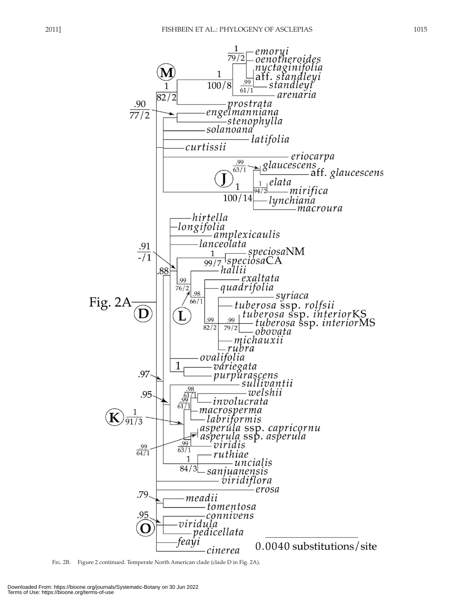

FIG. 2B. Figure 2 continued. Temperate North American clade (clade D in Fig. 2A).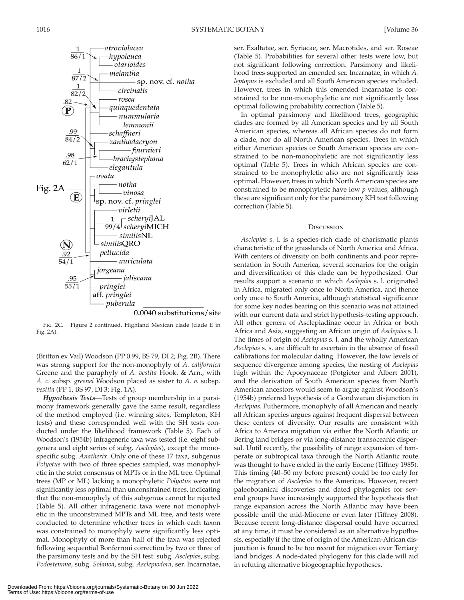

0.0040 substitutions/site

 Fig. 2C. Figure 2 continued. Highland Mexican clade (clade E in Fig. 2A).

(Britton ex Vail) Woodson (PP 0.99, BS 79, DI 2; Fig. 2B). There was strong support for the non-monophyly of *A. californica* Greene and the paraphyly of *A. vestita* Hook. & Arn., with *A. c.* subsp. *greenei* Woodson placed as sister to *A. v.* subsp. *vestita* (PP 1, BS 97, DI 3; Fig. 1A).

 *Hypothesis Tests—* Tests of group membership in a parsimony framework generally gave the same result, regardless of the method employed (i.e. winning sites, Templeton, KH tests) and these corresponded well with the SH tests conducted under the likelihood framework (Table 5). Each of Woodson's (1954b) infrageneric taxa was tested (i.e. eight subgenera and eight series of subg. *Asclepias* ), except the monospecific subg. *Anatherix* . Only one of these 17 taxa, subgenus *Polyotus* with two of three species sampled, was monophyletic in the strict consensus of MPTs or in the ML tree. Optimal trees (MP or ML) lacking a monophyletic *Polyotus* were not significantly less optimal than unconstrained trees, indicating that the non-monophyly of this subgenus cannot be rejected (Table 5). All other infrageneric taxa were not monophyletic in the unconstrained MPTs and ML tree, and tests were conducted to determine whether trees in which each taxon was constrained to monophyly were significantly less optimal. Monophyly of more than half of the taxa was rejected following sequential Bonferroni correction by two or three of the parsimony tests and by the SH test: subg. *Asclepias* , subg. *Podostemma* , subg. *Solanoa* , subg. *Asclepiodora* , ser. Incarnatae,

ser. Exaltatae, ser. Syriacae, ser. Macrotides, and ser. Roseae (Table 5). Probabilities for several other tests were low, but not significant following correction. Parsimony and likelihood trees supported an emended ser. Incarnatae, in which *A. leptopus* is excluded and all South American species included. However, trees in which this emended Incarnatae is constrained to be non-monophyletic are not significantly less optimal following probability correction (Table 5).

 In optimal parsimony and likelihood trees, geographic clades are formed by all American species and by all South American species, whereas all African species do not form a clade, nor do all North American species. Trees in which either American species or South American species are constrained to be non-monophyletic are not significantly less optimal (Table 5). Trees in which African species are constrained to be monophyletic also are not significantly less optimal. However, trees in which North American species are constrained to be monophyletic have low *p* values, although these are significant only for the parsimony KH test following correction (Table 5).

### **D**iscussion

*Asclepias* s. l. is a species-rich clade of charismatic plants characteristic of the grasslands of North America and Africa. With centers of diversity on both continents and poor representation in South America, several scenarios for the origin and diversification of this clade can be hypothesized. Our results support a scenario in which *Asclepias* s. l. originated in Africa, migrated only once to North America, and thence only once to South America, although statistical significance for some key nodes bearing on this scenario was not attained with our current data and strict hypothesis-testing approach. All other genera of Asclepiadinae occur in Africa or both Africa and Asia, suggesting an African origin of *Asclepias* s. l. The times of origin of *Asclepias* s. l. and the wholly American *Asclepias* s. s. are difficult to ascertain in the absence of fossil calibrations for molecular dating. However, the low levels of sequence divergence among species, the nesting of *Asclepias* high within the Apocynaceae (Potgieter and Albert 2001), and the derivation of South American species from North American ancestors would seem to argue against Woodson's (1954b) preferred hypothesis of a Gondwanan disjunction in *Asclepias.* Futhermore, monophyly of all American and nearly all African species argues against frequent dispersal between these centers of diversity. Our results are consistent with Africa to America migration via either the North Atlantic or Bering land bridges or via long-distance transoceanic dispersal. Until recently, the possibility of range expansion of temperate or subtropical taxa through the North Atlantic route was thought to have ended in the early Eocene (Tiffney 1985). This timing (40–50 my before present) could be too early for the migration of *Asclepias* to the Americas. However, recent paleobotanical discoveries and dated phylogenies for several groups have increasingly supported the hypothesis that range expansion across the North Atlantic may have been possible until the mid-Miocene or even later (Tiffney 2008). Because recent long-distance dispersal could have occurred at any time, it must be considered as an alternative hypothesis, especially if the time of origin of the American-African disjunction is found to be too recent for migration over Tertiary land bridges. A node-dated phylogeny for this clade will aid in refuting alternative biogeographic hypotheses.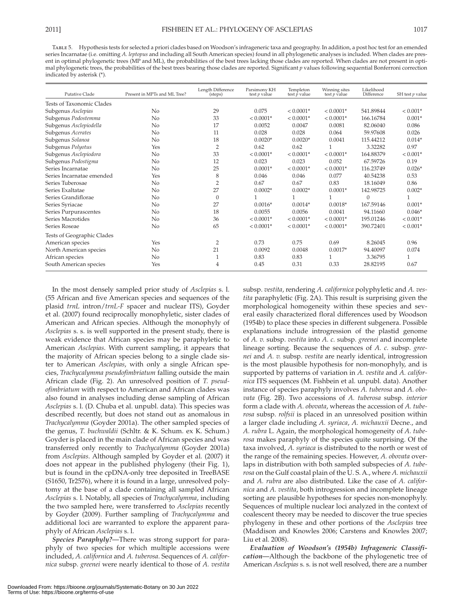Table 5. Hypothesis tests for selected a priori clades based on Woodson's infrageneric taxa and geography. In addition, a post hoc test for an emended series Incarnatae (i.e. omitting *A. leptopus* and including all South American species) found in all phylogenetic analyses is included. When clades are present in optimal phylogenetic trees (MP and ML), the probabilities of the best trees lacking those clades are reported. When clades are not present in optimal phylogenetic trees, the probabilities of the best trees bearing those clades are reported. Significant *p* values following sequential Bonferroni correction indicated by asterisk (\*).

| Putative Clade             | Present in MPTs and ML Tree? | Length Difference<br>(steps) | Parsimony KH<br>test <i>p</i> value | Templeton<br>test $\hat{p}$ value | Winning sites<br>test $p$ value | Likelihood<br>Difference | SH test $p$ value |
|----------------------------|------------------------------|------------------------------|-------------------------------------|-----------------------------------|---------------------------------|--------------------------|-------------------|
| Tests of Taxonomic Clades  |                              |                              |                                     |                                   |                                 |                          |                   |
| Subgenus Asclepias         | N <sub>o</sub>               | 29                           | 0.075                               | $< 0.0001*$                       | $< 0.0001*$                     | 541.89844                | $< 0.001*$        |
| Subgenus Podostemma        | No                           | 33                           | $< 0.0001*$                         | $< 0.0001*$                       | $< 0.0001*$                     | 166.16784                | $0.001*$          |
| Subgenus Asclepiodella     | No                           | 17                           | 0.0052                              | 0.0047                            | 0.0081                          | 82.06040                 | 0.086             |
| Subgenus Acerates          | N <sub>o</sub>               | 11                           | 0.028                               | 0.028                             | 0.064                           | 59.97608                 | 0.026             |
| Subgenus Solanoa           | No                           | 18                           | $0.0020*$                           | $0.0020*$                         | 0.0041                          | 115.44212                | $0.014*$          |
| Subgenus Polyotus          | Yes                          | $\overline{2}$               | 0.62                                | 0.62                              |                                 | 3.32282                  | 0.97              |
| Subgenus Asclepiodora      | No                           | 33                           | $< 0.0001*$                         | $< 0.0001*$                       | $< 0.0001*$                     | 164.88379                | $< 0.001*$        |
| Subgenus Podostigma        | No                           | 12                           | 0.023                               | 0.023                             | 0.052                           | 67.59726                 | 0.19              |
| Series Incarnatae          | No                           | 25                           | $0.0001*$                           | $< 0.0001*$                       | $< 0.0001*$                     | 116.23749                | $0.026*$          |
| Series Incarnatae emended  | Yes                          | 8                            | 0.046                               | 0.046                             | 0.077                           | 40.54238                 | 0.53              |
| Series Tuberosae           | No                           | $\overline{2}$               | 0.67                                | 0.67                              | 0.83                            | 18.16049                 | 0.86              |
| Series Exaltatae           | No                           | 27                           | $0.0002*$                           | $0.0002*$                         | $0.0001*$                       | 142.98725                | $0.002*$          |
| Series Grandiflorae        | N <sub>o</sub>               | $\Omega$                     | 1                                   | 1                                 |                                 | $\Omega$                 |                   |
| Series Syriacae            | No                           | 27                           | $0.0016*$                           | $0.0014*$                         | $0.0018*$                       | 167.59146                | $0.001*$          |
| Series Purpurascentes      | No                           | 18                           | 0.0055                              | 0.0056                            | 0.0041                          | 94.11660                 | $0.046*$          |
| Series Macrotides          | No                           | 36                           | $< 0.0001*$                         | $< 0.0001*$                       | $< 0.0001*$                     | 195.01246                | $< 0.001*$        |
| Series Roseae              | No                           | 65                           | $< 0.0001*$                         | $< 0.0001*$                       | $< 0.0001*$                     | 390.72401                | $< 0.001*$        |
| Tests of Geographic Clades |                              |                              |                                     |                                   |                                 |                          |                   |
| American species           | Yes                          | $\overline{2}$               | 0.73                                | 0.75                              | 0.69                            | 8.26045                  | 0.96              |
| North American species     | No                           | 21                           | 0.0092                              | 0.0048                            | $0.0017*$                       | 94.40097                 | 0.074             |
| African species            | No                           | 1                            | 0.83                                | 0.83                              |                                 | 3.36795                  |                   |
| South American species     | Yes                          | 4                            | 0.45                                | 0.31                              | 0.33                            | 28.82195                 | 0.67              |

 In the most densely sampled prior study of *Asclepias* s. l. (55 African and five American species and sequences of the plasid *trnL* intron/ *trnL-F* spacer and nuclear ITS), Goyder et al. (2007) found reciprocally monophyletic, sister clades of American and African species. Although the monophyly of *Asclepias* s. s. is well supported in the present study, there is weak evidence that African species may be paraphyletic to American *Asclepias* . With current sampling, it appears that the majority of African species belong to a single clade sister to American *Asclepias* , with only a single African species, *Trachycalymma pseudofimbriatum* falling outside the main African clade (Fig. 2). An unresolved position of *T. pseudofimbriatum* with respect to American and African clades was also found in analyses including dense sampling of African *Asclepias* s. l. (D. Chuba et al. unpubl. data). This species was described recently, but does not stand out as anomalous in *Trachycalymma* (Goyder 2001a). The other sampled species of the genus, *T. buchwaldii* (Schltr. & K. Schum. ex K. Schum.) Goyder is placed in the main clade of African species and was transferred only recently to *Trachycalymma* (Goyder 2001a) from *Asclepias* . Although sampled by Goyder et al. (2007) it does not appear in the published phylogeny (their Fig. 1), but is found in the cpDNA-only tree deposited in TreeBASE (S1650, Tr2576), where it is found in a large, unresolved polytomy at the base of a clade containing all sampled African *Asclepias* s. l. Notably, all species of *Trachycalymma* , including the two sampled here, were transferred to *Asclepias* recently by Goyder (2009). Further sampling of *Trachycalymma* and additional loci are warranted to explore the apparent paraphyly of African *Asclepias* s. l.

 *Species Paraphyly?—* There was strong support for paraphyly of two species for which multiple accessions were included, *A. californica* and *A. tuberosa* . Sequences of *A. californica* subsp. *greenei* were nearly identical to those of *A. vestita* subsp. *vestita* , rendering *A. californica* polyphyletic and *A. vestita* paraphyletic (Fig. 2A). This result is surprising given the morphological homogeneity within these species and several easily characterized floral differences used by Woodson (1954b) to place these species in different subgenera. Possible explanations include introgression of the plastid genome of *A. v.* subsp. *vestita* into *A. c.* subsp. *greenei* and incomplete lineage sorting. Because the sequences of *A. c.* subsp. *greenei* and *A. v.* subsp. *vestita* are nearly identical, introgression is the most plausible hypothesis for non-monophyly, and is supported by patterns of variation in *A. vestita* and *A. californica* ITS sequences (M. Fishbein et al. unpubl. data). Another instance of species paraphyly involves *A. tuberosa* and *A. obovata* (Fig. 2B). Two accessions of *A. tuberosa* subsp. *interior* form a clade with *A. obovata* , whereas the accession of *A. tuberosa* subsp. *rolfsii* is placed in an unresolved position within a larger clade including *A. syriaca* , *A. michauxii* Decne., and *A. rubra* L. Again, the morphological homogeneity of *A. tuberosa* makes paraphyly of the species quite surprising. Of the taxa involved, *A. syriaca* is distributed to the north or west of the range of the remaining species. However, *A. obovata* overlaps in distribution with both sampled subspecies of *A. tuberosa* on the Gulf coastal plain of the U. S. A., where *A. michauxii* and *A. rubra* are also distributed. Like the case of *A. californica* and *A. vestita* , both introgression and incomplete lineage sorting are plausible hypotheses for species non-monophyly. Sequences of multiple nuclear loci analyzed in the context of coalescent theory may be needed to discover the true species phylogeny in these and other portions of the *Asclepias* tree (Maddison and Knowles 2006; Carstens and Knowles 2007; Liu et al. 2008).

 *Evaluation of Woodson's (1954b) Infrageneric Classification—* Although the backbone of the phylogenetic tree of American *Asclepias* s. s. is not well resolved, there are a number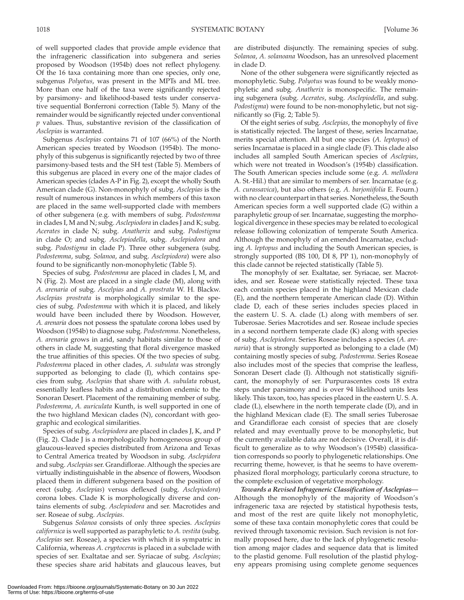of well supported clades that provide ample evidence that the infrageneric classification into subgenera and series proposed by Woodson (1954b) does not reflect phylogeny. Of the 16 taxa containing more than one species, only one, subgenus *Polyotus* , was present in the MPTs and ML tree. More than one half of the taxa were significantly rejected by parsimony- and likelihood-based tests under conservative sequential Bonferroni correction (Table 5). Many of the remainder would be significantly rejected under conventional *p* values. Thus, substantive revision of the classification of *Asclepias* is warranted.

 Subgenus *Asclepias* contains 71 of 107 (66%) of the North American species treated by Woodson (1954b). The monophyly of this subgenus is significantly rejected by two of three parsimony-based tests and the SH test (Table 5). Members of this subgenus are placed in every one of the major clades of American species (clades A-P in Fig. 2), except the wholly South American clade (G). Non-monophyly of subg. *Asclepias* is the result of numerous instances in which members of this taxon are placed in the same well-supported clade with members of other subgenera (e.g. with members of subg. *Podostemma* in clades I, M and N; subg. *Asclepiodora* in clades J and K; subg. *Acerates* in clade N; subg. *Anatherix* and subg. *Podostigma* in clade O; and subg. *Asclepiodella*, subg. *Asclepiodora* and subg. *Podostigma* in clade P). Three other subgenera (subg. *Podostemma* , subg. *Solanoa* , and subg. *Asclepiodora* ) were also found to be significantly non-monophyletic (Table 5).

 Species of subg. *Podostemma* are placed in clades I, M, and N (Fig. 2). Most are placed in a single clade (M), along with *A. arenaria* of subg. *Ascelpias* and *A. prostrata* W. H. Blackw. *Asclepias prostrata* is morphologically similar to the species of subg. *Podostemma* with which it is placed, and likely would have been included there by Woodson. However, *A. arenaria* does not possess the spatulate corona lobes used by Woodson (1954b) to diagnose subg. *Podostemma* . Nonetheless, *A. arenaria* grows in arid, sandy habitats similar to those of others in clade M, suggesting that floral divergence masked the true affinities of this species. Of the two species of subg. *Podostemma* placed in other clades, *A. subulata* was strongly supported as belonging to clade (I), which contains species from subg. *Asclepias* that share with *A. subulata* robust, essentially leafless habits and a distribution endemic to the Sonoran Desert. Placement of the remaining member of subg. *Podostemma* , *A. auriculata* Kunth, is well supported in one of the two highland Mexican clades (N), concordant with geographic and ecological similarities.

 Species of subg. *Asclepiodora* are placed in clades J, K, and P (Fig. 2). Clade J is a morphologically homogeneous group of glaucous-leaved species distributed from Arizona and Texas to Central America treated by Woodson in subg. *Asclepidora* and subg. *Asclepias* ser. Grandiflorae. Although the species are virtually indistinguishable in the absence of flowers, Woodson placed them in different subgenera based on the position of erect (subg. *Asclepias* ) versus deflexed (subg. *Asclepiodora* ) corona lobes. Clade K is morphologically diverse and contains elements of subg. *Asclepiodora* and ser. Macrotides and ser. Roseae of subg. *Asclepias* .

 Subgenus *Solanoa* consists of only three species. *Asclepias californica* is well supported as paraphyletic to *A. vestita* (subg. *Asclepias* ser. Roseae), a species with which it is sympatric in California, whereas *A. cryptoceras* is placed in a subclade with species of ser. Exaltatae and ser. Syriacae of subg. *Asclepias* ; these species share arid habitats and glaucous leaves, but

are distributed disjunctly. The remaining species of subg. *Solanoa* , *A. solanoana* Woodson, has an unresolved placement in clade D.

 None of the other subgenera were significantly rejected as monophyletic. Subg. *Polyotus* was found to be weakly monophyletic and subg. *Anatherix* is monospecific. The remaining subgenera (subg. *Acerates*, subg. *Asclepiodella*, and subg. *Podostigma*) were found to be non-monophyletic, but not significantly so  $(Fig. 2; Table 5)$ .

 Of the eight series of subg. *Asclepias* , the monophyly of five is statistically rejected. The largest of these, series Incarnatae, merits special attention. All but one species (A. leptopus) of series Incarnatae is placed in a single clade (F). This clade also includes all sampled South American species of *Asclepias* , which were not treated in Woodson's (1954b) classification. The South American species include some (e.g. *A. mellodora* A. St.-Hil.) that are similar to members of ser. Incarnatae (e.g. *A. curassavica* ), but also others (e.g. *A. barjoniifolia* E. Fourn.) with no clear counterpart in that series. Nonetheless, the South American species form a well supported clade (G) within a paraphyletic group of ser. Incarnatae, suggesting the morphological divergence in these species may be related to ecological release following colonization of temperate South America. Although the monophyly of an emended Incarnatae, excluding *A. leptopus* and including the South American species, is strongly supported (BS 100, DI 8, PP 1), non-monophyly of this clade cannot be rejected statistically (Table 5).

 The monophyly of ser. Exaltatae, ser. Syriacae, ser. Macrotides, and ser. Roseae were statistically rejected. These taxa each contain species placed in the highland Mexican clade (E), and the northern temperate American clade (D). Within clade D, each of these series includes species placed in the eastern U. S. A. clade (L) along with members of ser. Tuberosae. Series Macrotides and ser. Roseae include species in a second northern temperate clade (K) along with species of subg. *Asclepiodora* . Series Roseae includes a species ( *A. arenaria*) that is strongly supported as belonging to a clade (M) containing mostly species of subg. *Podostemma* . Series Roseae also includes most of the species that comprise the leafless, Sonoran Desert clade (I). Although not statistically significant, the monophyly of ser. Purpurascentes costs 18 extra steps under parsimony and is over 94 likelihood units less likely. This taxon, too, has species placed in the eastern U. S. A. clade (L), elsewhere in the north temperate clade (D), and in the highland Mexican clade (E). The small series Tuberosae and Grandiflorae each consist of species that are closely related and may eventually prove to be monophyletic, but the currently available data are not decisive. Overall, it is difficult to generalize as to why Woodson's (1954b) classification corresponds so poorly to phylogenetic relationships. One recurring theme, however, is that he seems to have overemphasized floral morphology, particularly corona structure, to the complete exclusion of vegetative morphology.

 *Towards a Revised Infrageneric Classification of Asclepias—* Although the monophyly of the majority of Woodson's infrageneric taxa are rejected by statistical hypothesis tests, and most of the rest are quite likely not monophyletic, some of these taxa contain monophyletic cores that could be revived through taxonomic revision. Such revision is not formally proposed here, due to the lack of phylogenetic resolution among major clades and sequence data that is limited to the plastid genome. Full resolution of the plastid phylogeny appears promising using complete genome sequences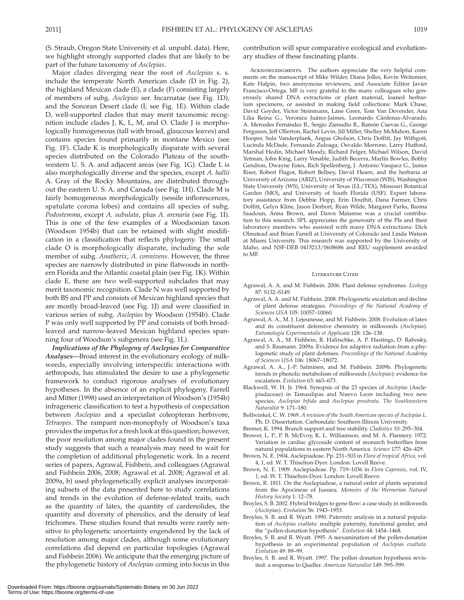(S. Straub, Oregon State University et al. unpubl. data). Here, we highlight strongly supported clades that are likely to be part of the future taxonomy of *Asclepias* .

 Major clades diverging near the root of *Asclepias* s. s. include the temperate North American clade (D in Fig. 2), the highland Mexican clade (E), a clade (F) consisting largely of members of subg. *Asclepias* ser. Incarnatae (see Fig. 1D), and the Sonoran Desert clade (I; see Fig. 1E). Within clade D, well-supported clades that may merit taxonomic recognition include clades J, K, L, M, and O. Clade J is morphologically homogeneous (tall with broad, glaucous leaves) and contains species found primarily in montane Mexico (see Fig. 1F). Clade K is morphologically disparate with several species distributed on the Colorado Plateau of the southwestern U. S. A. and adjacent areas (see Fig. 1G). Clade L is also morphologically diverse and the species, except *A. hallii* A. Gray of the Rocky Mountains, are distributed throughout the eastern U.S.A. and Canada (see Fig. 1H). Clade M is fairly homogeneous morphologically (sessile inflorescences, spatulate corona lobes) and contains all species of subg. *Podostemma*, except *A. subulata*, plus *A. arenaria* (see Fig. 1I). This is one of the few examples of a Woodsonian taxon (Woodson 1954b) that can be retained with slight modification in a classification that reflects phylogeny. The small clade O is morphologically disparate, including the sole member of subg. *Anatherix* , *A. connivens* . However, the three species are narrowly distributed in pine flatwoods in northern Florida and the Atlantic coastal plain (see Fig. 1K). Within clade E, there are two well-supported subclades that may merit taxonomic recognition. Clade N was well supported by both BS and PP and consists of Mexican highland species that are mostly broad-leaved (see Fig. 1J) and were classified in various series of subg. *Asclepias* by Woodson (1954b) . Clade P was only well supported by PP and consists of both broadleaved and narrow-leaved Mexican highland species spanning four of Woodson's subgenera (see Fig. 1L).

 *Implications of the Phylogeny of Asclepias for Comparative Analyses—* Broad interest in the evolutionary ecology of milkweeds, especially involving interspecific interactions with arthropods, has stimulated the desire to use a phylogenetic framework to conduct rigorous analyses of evolutionary hypotheses. In the absence of an explicit phylogeny, Farrell and Mitter (1998) used an interpretation of Woodson's (1954b) infrageneric classification to test a hypothesis of cospeciation between *Asclepias* and a specialist coleopteran herbivore, *Tetraopes* . The rampant non-monophyly of Woodson's taxa provides the impetus for a fresh look at this question; however, the poor resolution among major clades found in the present study suggests that such a reanalysis may need to wait for the completion of additional phylogenetic work. In a recent series of papers, Agrawal, Fishbein, and colleagues ( Agrawal and Fishbein 2006, 2008; Agrawal et al. 2008; Agrawal et al. 2009a, b) used phylogenetically explicit analyses incorporating subsets of the data presented here to study correlations and trends in the evolution of defense-related traits, such as the quantity of latex, the quantity of cardenolides, the quantity and diversity of phenolics, and the density of leaf trichomes. These studies found that results were rarely sensitive to phylogenetic uncertainty engendered by the lack of resolution among major clades, although some evolutionary correlations did depend on particular topologies ( Agrawal and Fishbein 2006). We anticipate that the emerging picture of the phylogenetic history of *Asclepias* coming into focus in this contribution will spur comparative ecological and evolutionary studies of these fascinating plants.

ACKNOWLEDGMENTS. The authors appreciate the very helpful comments on the manuscript of Mike Wilder, Diana Jolles, Kevin Weitemier, Kate Halpin, two anonymous reviewers, and Associate Editor Javier Francisco-Ortega. MF is very grateful to the many colleagues who generously shared DNA extractions or plant material, loaned herbarium specimens, or assisted in making field collections: Mark Chase, David Goyder, Victor Steinmann, Lane Greer, Tom Van Devender, Ana Lilia Reina G., Veronica Juárez-Jaimes, Leonardo Cárdenas-Alvarado, A. Mercedes Fernández B., Sergio Zamudio R., Ramón Cuevas G., George Ferguson, Jeff Ollerton, Rachel Levin, Jill Miller, Shelley McMahon, Karen Hooper, Sula Vanderplank, Angus Gholson, Chris Doffitt, Jay Withgott, Lucinda McDade, Fernando Zuloaga, Osvaldo Morrone, Larry Hufford, Marshal Hedin, Michael Moody, Richard Felger, Michael Wilson, David Yetman, John King, Larry Venable, Judith Becerra, Marlin Bowles, Bobby Gendron, Dwayne Estes, Rich Spellenberg, J. Antonio Vasquez G., James Riser, Robert Flagor, Robert Bellsey, David Hearn, and the herbaria at University of Arizona (ARIZ), University of Wisconsin (WIS), Washington State University (WS), University of Texas (LL/TEX), Missouri Botanical Garden (MO), and University of South Florida (USF). Expert laboratory assistance from Debbie Hopp, Erin Douthit, Dana Farmer, Chris Doffitt, Gelyn Kline, Jason Derbort, Ryan Wilde, Margaret Parks, Basma Saadoun, Anna Brown, and Dawn Matarese was a crucial contribution to this research. SPL appreciates the generosity of the PIs and their laboratory members who assisted with many DNA extractions: Dick Olmstead and Brian Farrell at University of Colorado and Linda Watson at Miami University. This research was supported by the University of Idaho, and NSF-DEB 0415213/0608686 and REU supplement awarded to MF.

#### Literature Cited

- Agrawal, A. A. and M. Fishbein . 2006 . Plant defense syndromes . *Ecology* 87: S132-S149.
- Agrawal, A. A. and M. Fishbein. 2008. Phylogenetic escalation and decline of plant defense strategies . *Proceedings of the National Academy of Sciences USA* 105: 10057-10060.
- Agrawal, A. A., M. J. Lejeunesse, and M. Fishbein. 2008. Evolution of latex and its constituent defensive chemistry in milkweeds (Asclepias). Entomologia Experimentalis et Applicata 128: 126-138.
- Agrawal, A. A., M. Fishbein, R. Halitschke, A. P. Hastings, D. Rabosky, and S. Rasmann. 2009a. Evidence for adaptive radiation from a phylogenetic study of plant defenses. *Proceedings of the National Academy of Sciences USA* 106: 18067 – 18072 .
- Agrawal, A. A., J.-P. Salminen, and M. Fishbein. 2009b. Phylogenetic trends in phenolic metabolism of milkweeds ( *Asclepias* ): evidence for escalation. *Evolution* 63: 663-673.
- Blackwell, W. H. Jr . 1964 . Synopsis of the 23 species of *Asclepias* (Asclepiadaceae) in Tamaulipas and Nuevo Leon including two new species, *Asclepias bifida* and *Asclepias prostrata* . *The Southwestern Naturalist* 9: 171-180.
- Bollwinkel, C. W. 1969 . *A revision of the South American species of Asclepias L* . Ph. D. Dissertation. Carbondale: Southern Illinois University.
- Bremer, K. 1994. Branch support and tree stability. *Cladistics* 10: 295-304.
- Brower, L. P., P. B. McEvoy, K. L. Williamson, and M. A. Flannery. 1972. Variation in cardiac glycoside content of monarch butterflies from natural populations in eastern North America. Science 177: 426-429.
- Brown, N. E. 1904. Asclepiadeae. Pp. 231-503 in *Flora of tropical Africa*, vol. 4, 1, ed. W. T. Thiselton-Dyer. London: Lovell Reeve.
- Brown, N. E. 1909. Asclepiadeae. Pp. 719-1036 in *Flora Capensis*, vol. IV, 1, ed. W. T. Thiselton-Dyer. London: Lovell Reeve.
- Brown, R. 1811. On the Asclepiadeae, a natural order of plants separated from the Apocineae of Jussieu . *Memoirs of the Wernerian Natural History Society* 1: 12–78.
- Broyles, S. B. 2002. Hybrid bridges to gene flow: a case study in milkweeds (*Asclepias* ) . *Evolution* 56: 1943 – 1953 .
- Broyles, S. B. and R. Wyatt. 1990. Paternity analysis in a natural population of *Asclepias exaltata:* multiple paternity, functional gender, and the "pollen-donation hypothesis". *Evolution* 44: 1454-1468.
- Broyles, S. B. and R. Wyatt. 1995. A reexamination of the pollen-donation hypothesis in an experimental population of *Asclepias exaltata* . *Evolution* 49: 89–99.
- Broyles, S. B. and R. Wyatt. 1997. The pollen donation hypothesis revisited: a response to Queller. American Naturalist 149: 595-599.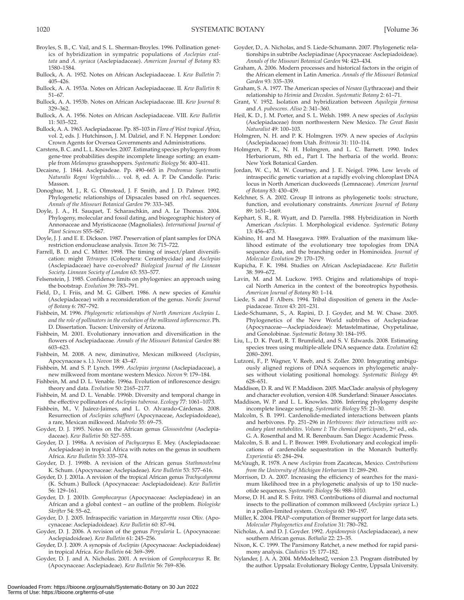- Broyles, S. B., C. Vail, and S. L. Sherman-Broyles. 1996. Pollination genetics of hybridization in sympatric populations of *Asclepias exaltata* and *A. syriaca* (Asclepiadaceae) . *American Journal of Botany* 83: 1580-1584.
- Bullock, A. A. 1952. Notes on African Asclepiadaceae. I. *Kew Bulletin 7*: 405-426.
- Bullock, A. A . 1953a . Notes on African Asclepiadaceae. II . *Kew Bulletin* 8:  $51 - 67$ .
- Bullock, A. A. 1953b. Notes on African Asclepiadaceae. III. *Kew Journal* 8: 329 – 362.
- Bullock, A. A. 1956. Notes on African Asclepiadaceae. VIII. Kew Bulletin 11: 503-522.
- Bullock, A. A. 1963 . Asclepiadaceae . Pp. 85 103 in *Flora of West tropical Africa* , vol. 2, eds. J. Hutchinson, J. M. Dalziel, and F. N. Heppner. London: Crown Agents for Oversea Governments and Administrations .
- Carstens, B. C. and L. L. Knowles . 2007 . Estimating species phylogeny from gene-tree probabilities despite incomplete lineage sorting: an example from *Melanopus* grasshoppers. Systematic Biology 56: 400-411.
- Decaisne, J. 1844. Asclepiadeae. Pp. 490-665 in *Prodromus Systematis Naturalis Regni Vegetabilis...* vol. 8, ed. A. P. De Candolle. Paris: Masson.
- Donoghue, M. J., R. G. Olmstead, J. F. Smith, and J. D. Palmer. 1992. Phylogenetic relationships of Dipsacales based on *rbcL* sequences. Annals of the Missouri Botanical Garden 79: 333-345.
- Doyle, J. A., H. Sauquet, T. Scharaschkin, and A. Le Thomas. 2004. Phylogeny, molecular and fossil dating, and biogeographic history of Annonaceae and Myristicaceae (Magnoliales) . *International Journal of Plant Sciences* S55–S67 .
- Doyle, J. J. and E. E. Dickson . 1987 . Preservation of plant samples for DNA restriction endonuclease analysis. *Taxon* 36: 715-722.
- Farrell, B. D. and C. Mitter. 1998. The timing of insect/plant diversification: might *Tetraopes* (Coleoptera: Cerambycidae) and *Asclepias* (Asclepiadaceae) have co-evolved? *Biological Journal of the Linnean Society. Linnean Society of London* 63: 553 – 577 .
- Felsenstein, J. 1985. Confidence limits on phylogenies: an approach using the bootstrap. *Evolution* 39: 783-791.
- Field, D., I. Friis, and M. G. Gilbert. 1986. A new species of *Kanahia* (Asclepiadaceae) with a reconsideration of the genus . *Nordic Journal of Botany* 6: 787 – 792 .
- Fishbein, M. 1996 . *Phylogenetic relationships of North American Asclepias L. and the role of pollinators in the evolution of the milkweed inflorescence* . Ph. D. Dissertation. Tucson: University of Arizona.
- Fishbein, M. 2001. Evolutionary innovation and diversification in the flowers of Asclepiadaceae . *Annals of the Missouri Botanical Garden* 88: 603-623.
- Fishbein, M. 2008. A new, diminutive, Mexican milkweed (Asclepias, Apocynaceae s. l.). *Novon* 18: 43-47.
- Fishbein, M. and S. P. Lynch . 1999 . *Asclepias jorgeana* (Asclepiadaceae), a new milkweed from montane western Mexico. *Novon* 9: 179-184.
- Fishbein, M. and D. L. Venable. 1996a. Evolution of inflorescence design: theory and data. *Evolution* 50: 2165-2177.
- Fishbein, M. and D. L. Venable. 1996b. Diversity and temporal change in the effective pollinators of *Asclepias tuberosa*. *Ecology* 77: 1061-1073.
- Fishbein, M., V. Juárez-Jaimes, and L. O. Alvarado-Cárdenas. 2008. Resurrection of *Asclepias schaffneri* (Apocynaceae, Asclepiadoideae), a rare, Mexican milkweed. *Madroño* 55: 69-75.
- Goyder, D. J. 1995. Notes on the African genus *Glossostelma* (Asclepiadaceae). *Kew Bulletin* 50: 527-555.
- Goyder, D. J. 1998a . A revision of *Pachycarpus* E. Mey. (Asclepiadaceae: Asclepiadeae) in tropical Africa with notes on the genus in southern Africa . *Kew Bulletin* 53: 335 – 374 .
- Goyder, D. J. 1998b. A revision of the African genus *Stathmostelma* K. Schum. (Apocynaceae: Asclepiadeae). *Kew Bulletin* 53: 577-616.
- Goyder, D. J. 2001a. A revision of the tropical African genus *Trachycalymma* (K. Schum.) Bullock (Apocynaceae: Asclepiadoideae) . *Kew Bulletin* 56: 129-161.
- Goyder, D. J. 2001b. *Gomphocarpus* (Apocynaceae: Asclepiadeae) in an African and a global context - an outline of the problem. *Biologiske Skrifter* 54: 55-62.
- Goyder, D. J. 2005. Infraspecific variation in *Margaretta rosea* Oliv. (Apocynaceae: Asclepiadoideae). *Kew Bulletin* 60: 87-94.
- Goyder, D. J. 2006. A revision of the genus *Pergularia* L. (Apocynaceae: Asclepiadoideae). *Kew Bulletin* 61: 245-256.
- Goyder, D. J. 2009. A synopsis of *Asclepias* (Apocynaceae: Asclepiadoideae) in tropical Africa. *Kew Bulletin* 64: 369-399.
- Goyder, D. J. and A. Nicholas . 2001 . A revision of *Gomphocarpus* R. Br. (Apocynaceae: Asclepiadeae). *Kew Bulletin* 56: 769-836.
- Goyder, D., A. Nicholas, and S. Liede-Schumann. 2007. Phylogenetic relationships in subtribe Asclepiadinae (Apocynaceae: Asclepiadoideae) . Annals of the Missouri Botanical Garden 94: 423-434.
- Graham, A. 2006. Modern processes and historical factors in the origin of the African element in Latin America . *Annals of the Missouri Botanical*  Garden 93: 335-339.
- Graham, S. A . 1977 . The American species of *Nesaea* (Lythraceae) and their relationship to *Heimia* and *Decodon*. Systematic Botany 2: 61-71.
- Grant, V. 1952. Isolation and hybridization between *Aquilegia formosa* and *A. pubescens. Aliso* 2: 341-360.
- Heil, K. D., J. M. Porter, and S. L. Welsh. 1989. A new species of *Asclepias* (Asclepiadaceae) from northwestern New Mexico . *The Great Basin Naturalist* 49: 100-103.
- Holmgren, N. H. and P. K. Holmgren . 1979 . A new species of *Asclepias* (Asclepiadaceae) from Utah. *Brittonia* 31: 110-114.
- Holmgren, P. K., N. H. Holmgren, and L. C. Barnett. 1990. Index Herbariorum, 8th ed., Part I. The herbaria of the world. Bronx: New York Botanical Garden .
- Jordan, W. C., M. W. Courtney, and J. E. Neigel. 1996. Low levels of intraspecific genetic variation at a rapidly evolving chloroplast DNA locus in North American duckweeds (Lemnaceae) . *American Journal*  of Botany 83: 430-439.
- Kelchner, S. A. 2002. Group II introns as phylogenetic tools: structure, function, and evolutionary constraints . *American Journal of Botany* 89: 1651-1669.
- Kephart, S. R., R. Wyatt, and D. Parrella. 1988. Hybridization in North American *Asclepias.* I. Morphological evidence . *Systematic Botany* 13: 456-473.
- Kishino, H. and M. Hasegawa. 1989. Evaluation of the maximum likelihood estimate of the evolutionary tree topologies from DNA sequence data, and the branching order in Hominoidea . *Journal of Molecular Evolution* 29: 170-179.
- Kupicha, F. K. 1984. Studies on African Asclepiadaceae. *Kew Bulletin* 38: 599-672.
- Lavin, M. and M. Luckow. 1993. Origins and relationships of tropical North America in the context of the boreotropics hypothesis. *American Journal of Botany 80: 1-14.*
- Liede, S. and F. Albers. 1994. Tribal disposition of genera in the Asclepiadaceae. *Taxon* 43: 201-231.
- Liede-Schumann, S., A. Rapini, D. J. Goyder, and M. W. Chase. 2005. Phylogenetics of the New World subtribes of Asclepiadeae (Apocynaceae—Asclepiadoideae): Metastelmatinae, Oxypetalinae, and Gonolobinae. Systematic Botany 30: 184-195.
- Liu, L., D. K. Pearl, R. T. Brumfield, and S. V. Edwards. 2008. Estimating species trees using multiple-allele DNA sequence data . *Evolution* 62: 2080-2091.
- Lutzoni, F., P. Wagner, V. Reeb, and S. Zoller. 2000. Integrating ambiguously aligned regions of DNA sequences in phylogenetic analyses without violating positional homology . *Systematic Biology* 49: 628-651.
- Maddison, D. R. and W. P. Maddison. 2005. MacClade: analysis of phylogeny and character evolution, version 4.08. Sunderland: Sinauer Associates.
- Maddison, W. P. and L. L. Knowles. 2006. Inferring phylogeny despite incomplete lineage sorting. Systematic Biology 55: 21-30.
- Malcolm, S. B. 1991. Cardenolide-mediated interactions between plants and herbivores. Pp. 251-296 in *Herbivores: their interactions with sec*ondary plant metabolites. Volume I: The chemical participants, 2<sup>nd</sup> ed., eds. G. A. Rosenthal and M. R. Berenbaum . San Diego : Academic Press .
- Malcolm, S. B. and L. P. Brower. 1989. Evolutionary and ecological implications of cardenolide sequestration in the Monarch butterfly. *Experientia* 45: 284–294.
- McVaugh, R . 1978 . A new *Asclepias* from Zacatecas, Mexico . *Contributions* from the University of Michigan Herbarium 11: 289-290.
- Morrison, D. A. 2007. Increasing the efficiency of searches for the maximum likelihood tree in a phylogenetic analysis of up to 150 nucleotide sequences. Systematic Biology 56: 988-1010.
- Morse, D. H. and R. S. Fritz. 1983. Contributions of diurnal and nocturnal insects to the pollination of common milkweed (*Asclepias syriaca* L.) in a pollen-limited system. Oecologia 60: 190-197.
- Müller, K. 2004. PRAP–computation of Bremer support for large data sets. *Molecular Phylogenetics and Evolution 31:780-782.*
- Nicholas, A. and D. J. Goyder . 1992 . *Aspidonepsis* (Asclepiadaceae), a new southern African genus. Bothalia 22: 23-35.
- Nixon, K. C. 1999. The Parsimony Ratchet, a new method for rapid parsimony analysis. *Cladistics* 15: 177-182.
- Nylander, J. A. A. 2004 . MrModeltest2, version 2.3. Program distributed by the author. Uppsala: Evolutionary Biology Centre, Uppsala University.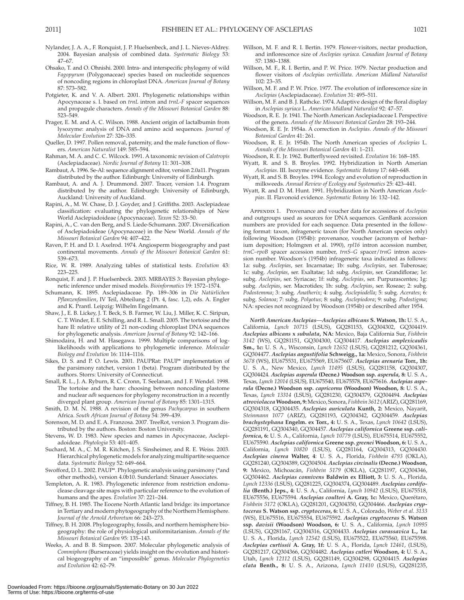- Nylander, J. A. A., F. Ronquist, J. P. Huelsenbeck, and J. L. Nieves-Aldrey. 2004. Bayesian analysis of combined data. Systematic Biology 53:  $47 - 67$
- Ohsako, T. and O. Ohnishi. 2000. Intra- and interspecific phylogeny of wild *Fagopyrum* (Polygonaceae) species based on nucleotide sequences of noncoding regions in chloroplast DNA . *American Journal of Botany* 87: 573-582.
- Potgieter, K. and V. A. Albert. 2001. Phylogenetic relationships within Apocynaceae s. l. based on *trnL* intron and *trnL-F* spacer sequences and propagule characters . *Annals of the Missouri Botanical Garden* 88: 523-549.
- Prager, E. M. and A. C. Wilson. 1988. Ancient origin of lactalbumin from lysozyme: analysis of DNA and amino acid sequences . *Journal of Molecular Evolution* 27: 326-335.
- Queller, D. 1997. Pollen removal, paternity, and the male function of flowers . *American Naturalist* 149: 585 – 594 .
- Rahman, M. A. and C. C. Wilcock . 1991 . A taxonomic revision of *Calotropis* (Asclepiadaceae). *Nordic Journal of Botany* 11: 301-308
- Rambaut, A. 1996 . Se-Al: sequence alignment editor, version 2.0a11. Program distributed by the author. Edinburgh: University of Edinburgh.
- Rambaut, A. and A. J. Drummond. 2007. Tracer, version 1.4. Program distributed by the author. Edinburgh: University of Edinburgh, Auckland: University of Auckland.
- Rapini, A., M. W. Chase, D. J. Goyder, and J. Griffiths. 2003. Asclepiadeae classification: evaluating the phylogenetic relationships of New World Asclepiadoideae (Apocynaceae). *Taxon* 52: 33-50.
- Rapini, A., C. van den Berg, and S. Liede-Schumann. 2007. Diversification of Asclepiadoideae (Apocynaceae) in the New World . *Annals of the Missouri Botanical Garden* 94: 407-422.
- Raven, P. H. and D. I. Axelrod. 1974. Angiosperm biogeography and past continental movements. *Annals of the Missouri Botanical Garden* 61: 539-673.
- Rice, W. R. 1989. Analyzing tables of statistical tests. *Evolution* 43: 223 – 225.
- Ronquist, F. and J. P. Huelsenbeck . 2003 . MRBAYES 3: Bayesian phylogenetic inference under mixed models. *Bioinformatics* 19: 1572-1574.
- Schumann, K. 1895 . Asclepiadaceae . Pp. 189 306 in *Die Natürlichen*  Pflanzenfamilien, IV Teil, Abteilung 2 (Pt. 4, fasc. 1,2), eds. A. Engler and K. Prantl. Leipzig: Wilhelm Engelmann.
- Shaw, J., E. B. Lickey, J. T. Beck, S. B. Farmer, W. Liu, J. Miller, K. C. Siripun, C. T. Winder, E. E. Schilling, and R. L. Small. 2005. The tortoise and the hare II: relative utility of 21 non-coding chloroplast DNA sequences for phylogenetic analysis. American Journal of Botany 92: 142-166.
- Shimodaira, H. and M. Hasegawa. 1999. Multiple comparisons of loglikelihoods with applications to phylogenetic inference . *Molecular* Biology and Evolution 16: 1114-1116.
- Sikes, D. S. and P. O. Lewis. 2001. PAUPRat: PAUP\* implementation of the parsimony ratchet, version 1 (beta). Program distributed by the authors. Storrs: University of Connecticut.
- Small, R. L., J. A. Ryburn, R. C. Cronn, T. Seelanan, and J. F. Wendel. 1998. The tortoise and the hare: choosing between noncoding plastome and nuclear *adh* sequences for phylogeny reconstruction in a recently diverged plant group. American Journal of Botany 85: 1301-1315.
- Smith, D. M. N. 1988. A revision of the genus *Pachycarpus* in southern Africa. South African Journal of Botany 54: 399-439.
- Sorenson, M. D. and E. A. Franzosa . 2007 . TreeRot, version 3. Program distributed by the authors. Boston: Boston University.
- Stevens, W. D. 1983. New species and names in Apocynaceae, Asclepiadoideae . *Phytologia* 53: 401 – 405 .
- Suchard, M. A., C. M. R. Kitchen, J. S. Sinsheimer, and R. E. Weiss. 2003. Hierarchical phylogenetic models for analyzing multipartite sequence data. Systematic Biology 52: 649-664.
- Swofford, D. L. 2002. PAUP\*. Phylogenetic analysis using parsimony (\*and other methods), version 4.0b10. Sunderland: Sinauer Associates.
- Templeton, A. R. 1983. Phylogenetic inference from restriction endonuclease cleavage site maps with particular reference to the evolution of humans and the apes. *Evolution* 37: 221-244.
- Tiffney, B. H. 1985. The Eocene North Atlantic land bridge: its importance in Tertiary and modern phytogeography of the Northern Hemisphere . Journal of the Arnold Arboretum 66: 243-273.
- Tiffney, B. H. 2008. Phylogeography, fossils, and northern hemisphere biogeography: the role of physiological uniformitarianism . *Annals of the Missouri Botanical Garden* 95: 135 – 143 .
- Weeks, A. and B. B. Simpson. 2007. Molecular phylogenetic analysis of *Commiphora* (Burseraceae) yields insight on the evolution and historical biogeography of an "impossible" genus . *Molecular Phylogenetics*  and Evolution 42: 62-79.
- Willson, M. F. and R. I. Bertin. 1979. Flower-visitors, nectar production, and inflorescence size of *Asclepias syriaca* . *Canadian Journal of Botany* 57: 1380-1388
- Willson, M. F., R. I. Bertin, and P. W. Price. 1979. Nectar production and flower visitors of *Asclepias verticillata* . *American Midland Naturalist* 102: 23-35.
- Willson, M. F. and P. W. Price . 1977 . The evolution of inflorescence size in Asclepias (Asclepiadaceae). *Evolution* 31: 495-511.
- Willson, M. F. and B. J. Rathcke . 1974 . Adaptive design of the floral display in *Asclepias syriaca* L . *American Midland Naturalist* 92: 47 – 57 .
- Woodson, R. E. Jr . 1941 . The North American Asclepiadaceae I. Perspective of the genera. *Annals of the Missouri Botanical Garden* 28: 193-244.
- Woodson, R. E. Jr . 1954a . A correction in *Asclepias* . *Annals of the Missouri Botanical Garden* 41: 261 .
- Woodson, R. E. Jr. 1954b. The North American species of *Asclepias* L. Annals of the Missouri Botanical Garden 41: 1-211.
- Woodson, R. E. Jr. 1962. Butterflyweed revisited. *Evolution* 16: 168-185.
- Wyatt, R. and S. B. Broyles. 1992. Hybridization in North Amerian Asclepias. III. Isozyme evidence. Systematic Botany 17: 640-648.
- Wyatt, R. and S. B. Broyles. 1994. Ecology and evolution of reproduction in milkweeds. Annual Review of Ecology and Systematics 25: 423-441.
- Wyatt, R. and D. M. Hunt. 1991. Hybridization in North American *Asclepias* . II. Flavonoid evidence . *Systematic Botany* 16: 132 – 142 .

 Appendix 1. Provenance and voucher data for accessions of *Asclepias* and outgroups used as sources for DNA sequences. GenBank accession numbers are provided for each sequence. Data presented in the following format: taxon, infrageneric taxon (for North American species only) following Woodson (1954b): provenance, voucher (acronym of herbarium deposition; Holmgren et al. 1990), *rpl16* intron accession number, *trnC–rpoB* spacer accession number, *trnS–G* spacer/ *trnG* intron accession number. Woodson's (1954b) infrageneric taxa indicated as follows: 1a: subg. *Asclepias* , ser. Incarnatae; 1b: subg. *Asclepias* , ser. Tuberosae; 1c: subg. *Asclepias* , ser. Exaltatae; 1d: subg. *Asclepias* , ser. Grandiflorae; 1e: subg. *Asclepias* , ser. Syriacae; 1f: subg. *Asclepias* , ser. Purpurascentes; 1g: subg. *Asclepias* , ser. Macrotides; 1h: subg. *Asclepias* , ser. Roseae; 2: subg. *Podostemma* ; 3: subg. *Anatherix* ; 4: subg. *Asclepiodella* ; 5: subg. *Acerates* ; 6: subg. *Solanoa* ; 7: subg. *Polyotus* ; 8: subg. *Asclepiodora* ; 9: subg. *Podostigma* ; NA: species not recognized by Woodson (1954b) or described after 1954.

*North American Asclepias*— *Asclepias albicans* **S. Watson, 1h:** U. S. A., California, *Lynch 10715* (LSUS), GQ281153, GQ304302, GQ304419. *Asclepias albicans* **x** *subulata* **, NA:** Mexico, Baja California Sur, *Fishbein 3142* (WS), GQ281151, GQ304300, GQ304417. *Asclepias amplexicaulis* **Sm., 1c:** U. S. A., Wisconsin, *Lynch 12652* (LSUS), GQ281212, GQ304361, GQ304477. *Asclepias angustifolia* **Schweigg., 1a:** Mexico, Sonora, *Fishbein 3678* (WS), EU675531, EU675569, EU675607. *Asclepias arenaria* **Torr., 1h:** U. S. A., New Mexico, *Lynch 11495* (LSUS), GQ281158, GQ304307, GQ304424. *Asclepias asperula* **(Decne.) Woodson ssp.** *asperula* **, 8:** U. S. A., Texas, *Lynch 12014* (LSUS), EU675540, EU675578, EU675616. *Asclepias asperula* **(Decne.) Woodson ssp.** *capricornu* **(Woodson) Woodson, 8:** U. S. A., Texas, *Lynch 13314* (LSUS), GQ281230, GQ304379, GQ304494. *Asclepias atroviolacea* **Woodson, 9:** Mexico, Sonora, *Fishbein 3612* (ARIZ), GQ281169, GQ304318, GQ304435. *Asclepias auriculata* **Kunth, 2:** Mexico, Nayarit, *Steinmann 1077* (ARIZ), GQ281193, GQ304342, GQ304459. *Asclepias brachystephana* **Engelm. ex Torr., 4:** U. S. A., Texas, *Lynch 10642* (LSUS), GQ281191, GQ304340, GQ304457. *Asclepias californica* **Greene ssp.** *californica* **, 6:** U. S. A., California, *Lynch 10779* (LSUS), EU675514, EU675552, EU675590. *Asclepias californica* **Greene ssp.** *greenei* **Woodson, 6:** U. S. A., California, *Lynch 10820* (LSUS), GQ281164, GQ304313, GQ304430. *Asclepias cinerea* **Walter, 4** : U. S. A., Florida, *Fishbein 4793* (OKLA), GQ281240, GQ304389, GQ304504. *Asclepias circinalis* **(Decne.) Woodson, 9:** Mexico, Michoacán, *Fishbein 5179* (OKLA), GQ281197, GQ304346, GQ304462. *Asclepias connivens* **Baldwin ex Elliott, 3:** U. S. A., Florida, *Lynch 12336* (LSUS), GQ281225, GQ304374, GQ304489. *Asclepias cordifolia* **(Benth.) Jeps., 4:** U. S. A., California, *Lynch 10942* (LSUS), EU675518, EU675556, EU675594. *Asclepias coulteri* **A. Gray, 1c:** Mexico, Querétaro, *Fishbein 5172* (OKLA), GQ281201, GQ304350, GQ304466. *Asclepias cryptoceras* **S. Watson ssp.** *cryptoceras* **, 6:** U. S. A., Colorado, *Weber et al. 3133* (WS), EU675516, EU675554, EU675592. *Asclepias cryptoceras* **S. Watson ssp.** *davisii* **(Woodson) Woodson, 6:** U. S. A., California, *Lynch 10995* (LSUS), GQ281167, GQ304316, GQ304433. *Asclepias curassavica* **L., 1a:** U. S. A., Florida, *Lynch 12542* (LSUS), EU675522, EU675560, EU675598. *Asclepias curtissii* **A. Gray, 1f:** U. S. A., Florida, *Lynch 12461* , (LSUS), GQ281217, GQ304366, GQ304482. *Asclepias cutleri* **Woodson, 4:** U. S. A., Utah, *Lynch 12112* (LSUS), GQ281149, GQ304298, GQ304415. *Asclepias elata* **Benth., 8:** U. S. A., Arizona, *Lynch 11410* (LSUS), GQ281235,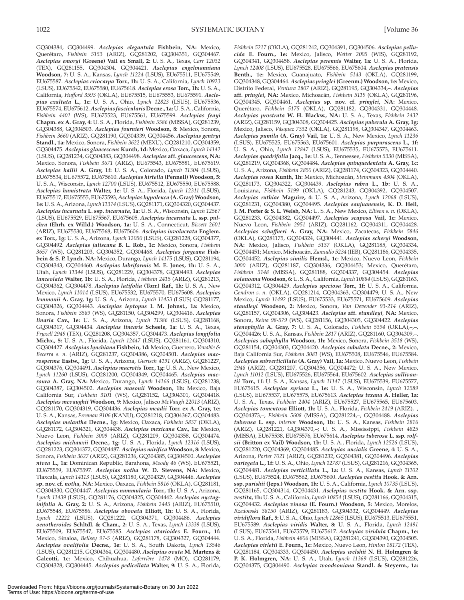GQ304384, GQ304499. *Asclepias elegantula* **Fishbein, NA:** Mexico, Querétaro, *Fishbein 5153* (ARIZ), GQ281202, GQ304351, GQ304467. *Asclepias emoryi* **(Greene) Vail ex Small, 2:** U. S. A., Texas, *Carr 12032* (TEX), GQ281155, GQ304304, GQ304421. *Asclepias engelmanniana* **Woodson, 7:** U. S. A., Kansas, *Lynch 11224* (LSUS), EU675511, EU675549, EU675587. *Asclepias eriocarpa* **Torr., 1h:** U. S. A., California, *Lynch 10923* (LSUS), EU675542, EU675580, EU675618. *Asclepias erosa* **Torr., 1h:** U. S. A., California, *Hufford 3593* (OKLA), EU675515, EU675553, EU675591. *Asclepias exaltata* **L., 1c:** U. S. A., Ohio, *Lynch 12823* (LSUS), EU675536, EU675574, EU675612. *Asclepias fascicularis* **Decne., 1a:** U. S. A., California, *Fishbein 4401* (WS), EU675523, EU675561, EU675599. *Asclepias feayi* **Chapm. ex A. Gray, 4:** U. S. A., Florida, *Fishbein 5586* (MISSA), GQ281239, GQ304388, GQ304503. *Asclepias fournieri* **Woodson, 8:** Mexico, Sonora, *Fishbein 3660* (ARIZ), GQ281190, GQ304339, GQ304456. *Asclepias gentryi* **Standl., 1a:** Mexico, Sonora, *Fishbein 3622* (MEXU), GQ281210, GQ304359, GQ304475. *Asclepias glaucescens* **Kunth, 1d:** Mexico, Oaxaca, *Lynch 14142* (LSUS), GQ281234, GQ304383, GQ304498. *Asclepias* **aff.** *glaucescens* **, NA:** Mexico, Sonora, *Fishbein 3671* (ARIZ), EU675543, EU675581, EU675619. *Asclepias hallii* **A. Gray, 1f:** U. S. A., Colorado, *Lynch 11304* (LSUS), EU675534, EU675572, EU675610. *Asclepias hirtella* **(Pennell) Woodson, 5:** U. S. A., Wisconsin, *Lynch 12700* (LSUS), EU675512, EU675550, EU675588. *Asclepias humistrata* **Walter, 1e:** U. S. A., Florida, *Lynch 12311* (LSUS), EU675517, EU675555, EU675593, *Asclepias hypoleuca* **(A. Gray) Woodson, 1e:** U. S. A., Arizona, *Lynch 11374* (LSUS), GQ281171, GQ304320, GQ304437. *Asclepias incarnata* **L. ssp.** *incarnata* **, 1a:** U. S. A., Wisconsin, *Lynch 12567* (LSUS), EU675529, EU675567, EU675605. *Asclepias incarnata* **L. ssp.** *pulchra* **(Ehrh. ex Willd.) Woodson, 1a:** U. S. A., Connecticut, *Bissett 2601* (ARIZ), EU675530, EU675568, EU675606. *Asclepias involucrata* **Englem. ex Torr., 1g:** U. S. A., Arizona, *Lynch 12050* (LSUS), GQ281228, GQ304377, GQ304492. *Asclepias jaliscana* **B. L. Rob., 1c:** Mexico, Sonora, *Fishbein 3657* (WS), GQ281203, GQ304352, GQ304468. *Asclepias jorgeana* **Fishbein & S. P. Lynch. NA:** Mexico, Durango, *Lynch 14175* (LSUS), GQ281194, GQ304343, GQ304460. *Asclepias labriformis* **M. E. Jones, 1h:** U. S. A., Utah, *Lynch 11344* (LSUS), GQ281229, GQ304378, GQ304493. *Asclepias lanceolata* **Walter, 1b:** U. S. A., Florida, *Fishbein 2415* (ARIZ), GQ281213, GQ304362, GQ304478. *Asclepias latifolia* **(Torr.) Raf., 1h:** U. S. A., New Mexico, *Lynch 11014* (LSUS), EU675532, EU675570, EU675608. *Asclepias lemmonii* **A. Gray, 1g:** U. S. A., Arizona, *Lynch 11453* (LSUS) GQ281177, GQ304326, GQ304443. *Asclepias leptopus* **I. M. Johnst., 1a:** Mexico, Sonora, *Fishbein 3589* (WS), GQ281150, GQ304299, GQ304416. *Asclepias linaria* **Cav., 1e:** U. S. A., Arizona, *Lynch 11386* (LSUS), GQ281168, GQ304317, GQ304434. *Asclepias linearis* **Scheele, 1a:** U. S. A., Texas, *Fryxell 2949* (TEX), GQ281208, GQ304357, GQ304473. *Asclepias longifolia* **Michx., 5:** U. S. A., Florida, *Lynch 12447* (LSUS), GQ281161, GQ304310, GQ304427. *Asclepias lynchiana* **Fishbein, 1d:** Mexico, Guerrero, *Venable & Becerra s. n.* (ARIZ), GQ281237, GQ304386, GQ304501. *Asclepias macrosperma* **Eastw., 1g:** U. S. A., Arizona, *Gierisch 4191* (ARIZ), GQ281227, GQ304376, GQ304491. *Asclepias macrotis* **Torr., 1g:** U. S. A., New Mexico, *Lynch 11260* (LSUS), GQ281200, GQ304349, GQ304465. *Asclepias macroura* **A. Gray, NA:** Mexico, Durango, *Lynch 14166* (LSUS), GQ281238, GQ304387, GQ304502. *Asclepias masonii* **Woodson, 1h:** Mexico, Baja California Sur, *Fishbein 3101* (WS), GQ281152, GQ304301, GQ304418. *Asclepias mcvaughii* **Woodson, 9:** Mexico, Jalisco *McVaugh 22013* (ARIZ), GQ281170, GQ304319, GQ304436. *Asclepias meadii* **Torr. ex A. Gray, 1e:** U. S. A., Kansas, *Freeman 9106* (KANU), GQ281218, GQ304367, GQ304483. *Asclepias melantha* **Decne., 1g:** Mexico, Oaxaca, *Fishbein 5837* (OKLA), GQ281172, GQ304321, GQ304438. *Asclepias mexicana* **Cav., 1a:** Mexico, Nuevo Leon, *Fishbein 3009* (ARIZ), GQ281209, GQ304358, GQ304474. *Asclepias michauxii* **Decne., 1g:** U. S. A., Florida, *Lynch 12316* (LSUS), GQ281223, GQ304372, GQ304487. *Asclepias mirifica* **Woodson, 8:** Mexico, Sonora, *Fishbein 3627* (ARIZ), GQ281236, GQ304385, GQ304500. *Asclepias nivea* **L., 1a:** Dominican Republic, Barahona, *Moody 46* (WS), EU675521, EU675559, EU675597. *Asclepias notha* **W. D. Stevens, NA:** Mexico, Tlaxcala, *Lynch 14113* (LSUS), GQ281180, GQ304329, GQ304446. *Asclepias* **sp. nov. cf.** *notha ,* **NA:** Mexico, Oaxaca, *Fishbein 5816* (OKLA), GQ281181, GQ304330, GQ304447. *Asclepias nummularia* **Torr., 1h:** U. S. A., Arizona, *Lynch 11439* (LSUS), GQ281176, GQ304325, GQ304442. *Asclepias nyctaginifolia* **A. Gray, 2:** U. S. A., Arizona, *Fishbein 2445* (ARIZ), EU675510, EU675548, EU675586. *Asclepias obovata* **Elliott, 1h:** U. S. A., Florida, *Lynch 12222* (LSUS), GQ281222, GQ304371, GQ304486. *Asclepias oenotheroides* **Schltdl. & Cham., 2:** U. S. A., Texas, *Lynch 13339* (LSUS), EU675509, EU675547, EU675585. *Asclepias otarioides* **E. Fourn., 1f:** Mexico, Sinaloa, *Bellsey 97-5* (ARIZ), GQ281178, GQ304327, GQ304444. *Asclepias ovalifolia* **Decne., 1e:** U. S. A., South Dakota, *Lynch 13546* (LSUS), GQ281215, GQ304364, GQ304480. *Asclepias ovata* **M. Martens & Galeotti, 1c:** Mexico, Chihuahua, *Laferrière 1478* (MO), GQ281179, GQ304328, GQ304445. *Asclepias pedicellata* **Walter, 9:** U. S. A., Florida,

GQ304348, GQ304464. *Asclepias pringlei* **(Greenm.) Woodson, 1e:** Mexico, Distrito Federal, *Ventura 2807* (ARIZ), GQ281195, GQ304334,–. *Asclepias* **aff.** *pringlei* **, NA:** Mexico, Michoacán, *Fishbein 5119* (OKLA), GQ281196, GQ304345, GQ304461. *Asclepias* **sp. nov. cf.** *pringlei* **, NA:** Mexico, Querétaro, *Fishbein 5175* (OKLA), GQ281182, GQ304331, GQ304448. *Asclepias prostrata* **W. H. Blackw., NA:** U. S. A., Texas, *Fishbein 2432* (ARIZ), GQ281159, GQ304308, GQ304425. *Asclepias puberula* **A. Gray, 1g:** Mexico, Jalisco, *Vásquez 7332* (OKLA), GQ281198, GQ304347, GQ304463. *Asclepias pumila* **(A. Gray) Vail, 1a:** U. S. A., New Mexico, *Lynch 11236* (LSUS), EU675525, EU675563, EU675601. *Asclepias purpurascens* **L., 1f:** U. S. A., Ohio, *Lynch 12847* (LSUS), EU675535, EU675573, EU675611. *Asclepias quadrifolia* **Jacq., 1e:** U. S. A., Tennessee, *Fishbein 5330* (MISSA), GQ281219, GQ304368, GQ304484. *Asclepias quinquedentata* **A. Gray, 1c:** U. S. A., Arizona, *Fishbein 2850* (ARIZ), GQ281174, GQ304323, GQ304440. *Asclepias rosea* **Kunth, 1h:** Mexico, Michoacán, *Steinmann 4304* (OKLA), GQ281173, GQ304322, GQ304439. *Asclepias rubra* **L., 1b:** U. S. A., Louisiana, *Fishbein 5199* (OKLA), GQ281243, GQ304392, GQ304507. *Asclepias ruthiae* **Maguire, 4:** U. S. A., Arizona, *Lynch 12068* (LSUS), GQ281231, GQ304380, GQ304495. *Asclepias sanjuanensis* **, K. D. Heil, J. M. Porter & S. L. Welsh, NA:** U. S. A., New Mexico, *Ellison s. n.* (OKLA), GQ281233, GQ304382, GQ304497. *Asclepias scaposa* **Vail, 1c:** Mexico, Nuevo Leon, *Fishbein 2951* (ARIZ), GQ281162, GQ304311, GQ304428. *Asclepias schaffneri* **A. Gray, NA:** Mexico, Zacatecas, *Fishbein 5846* (OKLA), GQ281175, GQ304324, GQ304441. *Asclepias scheryi* **Woodson, NA:** Mexico, Jalisco, *Fishbein 5137* (OKLA), GQ281185, GQ304334, GQ304451; Mexico, Michoacán, *Zamudio 5234* (IEB), GQ281186, GQ304335, GQ304452. *Asclepias similis* **Hemsl., 1c:** Mexico, Nuevo Leon, *Fishbein 3000* (ARIZ), GQ281187, GQ304336, GQ304453; Mexico, Querétaro, *Fishbein 5148* (MISSA), GQ281188, GQ304337, GQ304454. *Asclepias solanoana* **Woodson, 6:** U. S. A., California, *Lynch 10884* (LSUS), GQ281163, GQ304312, GQ304429. *Asclepias speciosa* **Torr., 1f:** U. S. A., California, *Gendron s. n.* (OKLA), GQ281214, GQ304363, GQ304479; U. S. A., New Mexico, *Lynch 11492* (LSUS), EU675533, EU675571, EU675609. *Asclepias standleyi* **Woodson, 2:** Mexico, Sonora, *Van Devender 93-214* (ARIZ), GQ281157, GQ304306, GQ304423. *Asclepias* **aff.** *standleyi,* **NA:** Mexico, Sonora, *Reina 98-579* (WS), GQ281156, GQ304305, GQ304422. *Asclepias stenophylla* **A. Gray, 7:** U. S. A., Colorado, *Fishbein 5394* (OKLA),–,–, GQ304426; U. S. A., Kansas, *Fishbein 2817* (ARIZ), GQ281160, GQ304309,–. *Asclepias subaphylla* **Woodson, 1h:** Mexico, Sonora, *Fishbein 3518* (WS), GQ281154, GQ304303, GQ304420. *Asclepias subulata* **Decne., 2:** Mexico, Baja California Sur, *Fishbein 3081* (WS), EU675508, EU675546, EU675584. *Asclepias subverticillata* **(A. Gray) Vail, 1a:** Mexico, Nuevo Leon, *Fishbein 2948* (ARIZ), GQ281207, GQ304356, GQ304472; U. S. A., New Mexico, *Lynch 11012* (LSUS), EU675526, EU675564, EU675602. *Asclepias sullivantii* **Torr., 1f:** U. S. A., Kansas, *Lynch 11147* (LSUS), EU675539, EU675577, EU675615. *Asclepias syriaca* **L., 1e:** U. S. A., Wisconsin, *Lynch 12589* (LSUS), EU675537, EU675575, EU675613. *Asclepias texana* **A. Heller, 1a:** U. S. A., Texas, *Fishbein 2404* (ARIZ), EU675527, EU675565, EU675603. *Asclepias tomentosa* **Elliott, 1h:** U. S. A., Florida, *Fishbein 2419* (ARIZ),–, GQ304373,–; *Fishbein 5608* (MISSA), GQ281224,–, GQ304488. *Asclepias tuberosa* **L. ssp.** *interior* **Woodson, 1b:** U. S. A., Kansas, *Fishbein 2816* (ARIZ), GQ281221, GQ304370,–; U. S. A., Mississippi, *Fishbein 4825* (MISSA), EU675538, EU675576, EU675614. *Asclepias tuberosa* **L. ssp.** *rolfsii* **(Britton ex Vail) Woodson, 1b:** U. S. A., Florida, *Lynch 12526* (LSUS), GQ281220, GQ304369, GQ304485. *Asclepias uncialis* **Greene, 4:** U. S. A., Arizona, *Porter 7021* (ARIZ), GQ281232, GQ304381, GQ304496. *Asclepias variegata* **L., 1f:** U. S. A., Ohio, *Lynch 12787* (LSUS), GQ281216, GQ304365, GQ304481. *Asclepias verticillata* **L., 1a:** U. S. A., Kansas, *Lynch 11102* (LSUS), EU675524, EU675562, EU675600. *Asclepias vestita* **Hook. & Arn. ssp.** *parishii* **(Jeps.) Woodson, 1h:** U. S. A., California, *Lynch 10735* (LSUS), GQ281165, GQ304314, GQ304431. *Asclepias vestita* **Hook. & Arn. ssp.**  *vestita* **, 1h:** U. S. A., California, *Lynch 10854* (LSUS), GQ281166, GQ304315, GQ304432. *Asclepias vinosa* **(E. Fourn.) Woodson, 5:** Mexico, Morelos, *Rzedowski 38150* (ARIZ), GQ281183, GQ304332, GQ304449. *Asclepias viridiflora* **Raf., 5:** U. S. A., Ohio, *Lynch 12865* (LSUS), EU675513, EU675551, EU675589. *Asclepias viridis* **Walter, 8:** U. S. A., Florida, *Lynch 12491* (LSUS), EU675541, EU675579, EU675617. *Asclepias viridula* **Chapm., 1e:** U. S. A., Florida, *Fishbein 4806* (MISSA), GQ281241, GQ304390, GQ304505. *Asclepias virletii* **E. Fourn., 1c:** Mexico, Nuevo Leon, *Hinton 18172* (TEX), GQ281184, GQ304333, GQ304450. *Asclepias welshii* **N. H. Holmgren & P. K. Holmgren, NA:** U. S. A., Utah, *Lynch 11369* (LSUS), GQ281226, GQ304375, GQ304490. *Asclepias woodsoniana* **Standl. & Steyerm., 1a:**

*Fishbein 5217* (OKLA), GQ281242, GQ304391, GQ304506. *Asclepias pellucida* **E. Fourn., 1e:** Mexico, Jalisco, *Wetter 2005* (WIS), GQ281192, GQ304341, GQ304458. *Asclepias perennis* **Walter, 1a:** U. S. A., Florida, *Lynch 12408* (LSUS), EU675528, EU675566, EU675604. *Asclepias pratensis* **Benth., 1e:** Mexico, Guanajuato, *Fishbein 5143* (OKLA), GQ281199,